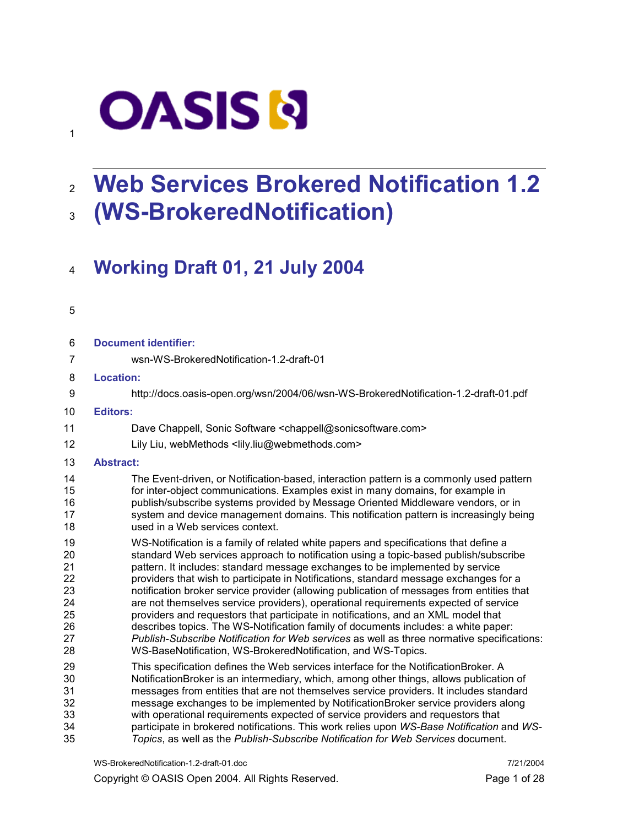# **OASIS N**

# 2 Web Services Brokered Notification 1.2 <sup>3</sup>(WS-BrokeredNotification)

# <sup>4</sup>Working Draft 01, 21 July 2004

#### 5

1

| 6                                                        | <b>Document identifier:</b>                                                                                                                                                                                                                                                                                                                                                                                                                                                                                                                                                                                                                                                                                                                                                                                                                                                         |
|----------------------------------------------------------|-------------------------------------------------------------------------------------------------------------------------------------------------------------------------------------------------------------------------------------------------------------------------------------------------------------------------------------------------------------------------------------------------------------------------------------------------------------------------------------------------------------------------------------------------------------------------------------------------------------------------------------------------------------------------------------------------------------------------------------------------------------------------------------------------------------------------------------------------------------------------------------|
| $\overline{7}$                                           | wsn-WS-BrokeredNotification-1.2-draft-01                                                                                                                                                                                                                                                                                                                                                                                                                                                                                                                                                                                                                                                                                                                                                                                                                                            |
| 8                                                        | <b>Location:</b>                                                                                                                                                                                                                                                                                                                                                                                                                                                                                                                                                                                                                                                                                                                                                                                                                                                                    |
| 9                                                        | http://docs.oasis-open.org/wsn/2004/06/wsn-WS-BrokeredNotification-1.2-draft-01.pdf                                                                                                                                                                                                                                                                                                                                                                                                                                                                                                                                                                                                                                                                                                                                                                                                 |
| 10                                                       | <b>Editors:</b>                                                                                                                                                                                                                                                                                                                                                                                                                                                                                                                                                                                                                                                                                                                                                                                                                                                                     |
| 11                                                       | Dave Chappell, Sonic Software <chappell@sonicsoftware.com></chappell@sonicsoftware.com>                                                                                                                                                                                                                                                                                                                                                                                                                                                                                                                                                                                                                                                                                                                                                                                             |
| 12                                                       | Lily Liu, webMethods <lily.liu@webmethods.com></lily.liu@webmethods.com>                                                                                                                                                                                                                                                                                                                                                                                                                                                                                                                                                                                                                                                                                                                                                                                                            |
| 13                                                       | <b>Abstract:</b>                                                                                                                                                                                                                                                                                                                                                                                                                                                                                                                                                                                                                                                                                                                                                                                                                                                                    |
| 14<br>15<br>16<br>17<br>18                               | The Event-driven, or Notification-based, interaction pattern is a commonly used pattern<br>for inter-object communications. Examples exist in many domains, for example in<br>publish/subscribe systems provided by Message Oriented Middleware vendors, or in<br>system and device management domains. This notification pattern is increasingly being<br>used in a Web services context.                                                                                                                                                                                                                                                                                                                                                                                                                                                                                          |
| 19<br>20<br>21<br>22<br>23<br>24<br>25<br>26<br>27<br>28 | WS-Notification is a family of related white papers and specifications that define a<br>standard Web services approach to notification using a topic-based publish/subscribe<br>pattern. It includes: standard message exchanges to be implemented by service<br>providers that wish to participate in Notifications, standard message exchanges for a<br>notification broker service provider (allowing publication of messages from entities that<br>are not themselves service providers), operational requirements expected of service<br>providers and requestors that participate in notifications, and an XML model that<br>describes topics. The WS-Notification family of documents includes: a white paper:<br>Publish-Subscribe Notification for Web services as well as three normative specifications:<br>WS-BaseNotification, WS-BrokeredNotification, and WS-Topics. |
| 29<br>30<br>31<br>32<br>33<br>34<br>35                   | This specification defines the Web services interface for the NotificationBroker. A<br>NotificationBroker is an intermediary, which, among other things, allows publication of<br>messages from entities that are not themselves service providers. It includes standard<br>message exchanges to be implemented by NotificationBroker service providers along<br>with operational requirements expected of service providers and requestors that<br>participate in brokered notifications. This work relies upon WS-Base Notification and WS-<br>Topics, as well as the Publish-Subscribe Notification for Web Services document.                                                                                                                                                                                                                                                   |

WS-BrokeredNotification-1.2-draft-01.doc 7/21/2004

Copyright © OASIS Open 2004. All Rights Reserved. Page 1 of 28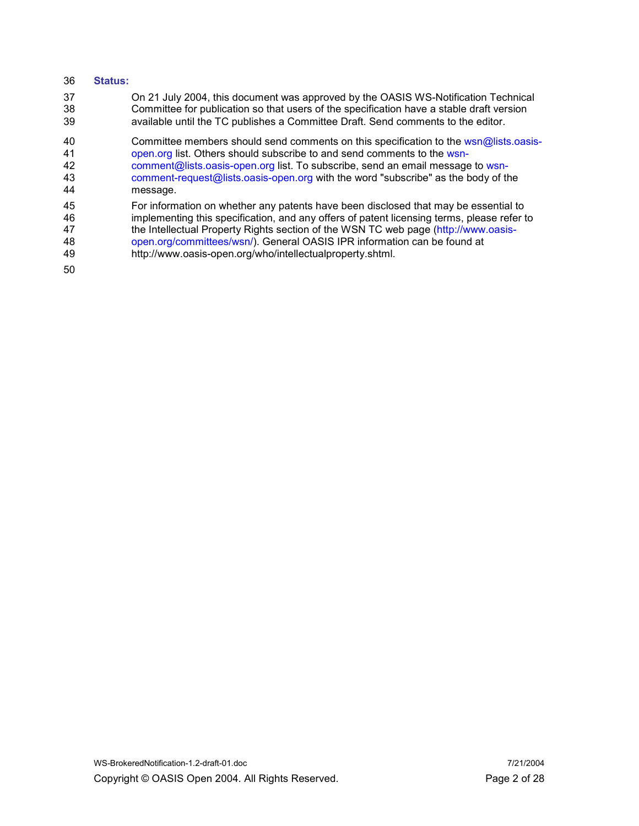#### 36 Status:

37 On 21 July 2004, this document was approved by the OASIS WS-Notification Technical 38 Committee for publication so that users of the specification have a stable draft version<br>39 available until the TC publishes a Committee Draft. Send comments to the editor. available until the TC publishes a Committee Draft. Send comments to the editor.

40 Committee members should send comments on this specification to the wsn@lists.oasis-41 open.org list. Others should subscribe to and send comments to the wsndemant of the comment of the solists.oasis-open.org list. To subscribe, send an email message to wsn-<br>43 comment-request @lists.oasis-open.org with the word "subscribe" as the body of the comment-request@lists.oasis-open.org with the word "subscribe" as the body of the 44 message.

- 45 For information on whether any patents have been disclosed that may be essential to 46 implementing this specification, and any offers of patent licensing terms, please refer to<br>47 the Intellectual Property Rights section of the WSN TC web page (http://www.oasis-47 the Intellectual Property Rights section of the WSN TC web page (http://www.oasis-<br>48 open.org/committees/wsn/). General OASIS IPR information can be found at open.org/committees/wsn/). General OASIS IPR information can be found at 49 http://www.oasis-open.org/who/intellectualproperty.shtml.
- 50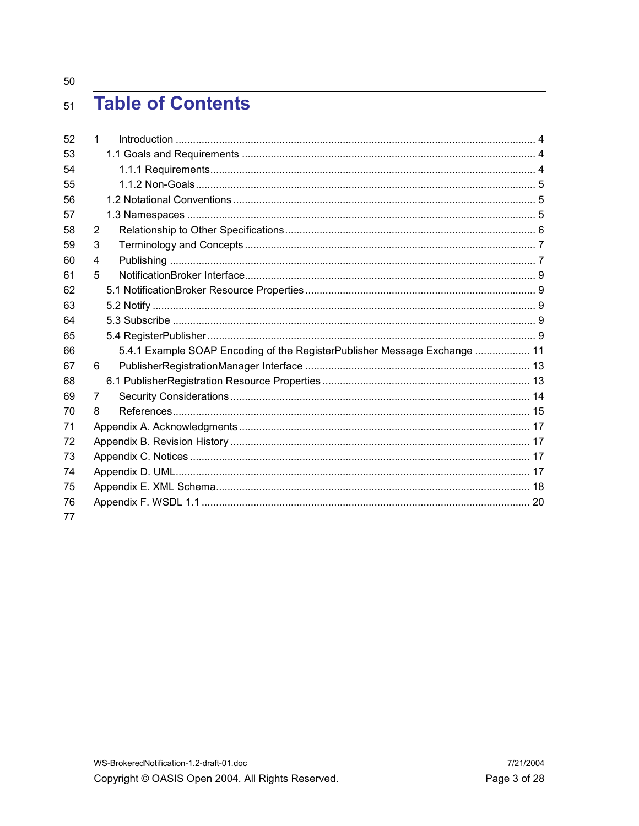50

#### **Table of Contents**  $51$

| 52 | $\mathbf{1}$   |                                                                           |  |
|----|----------------|---------------------------------------------------------------------------|--|
| 53 |                |                                                                           |  |
| 54 |                |                                                                           |  |
| 55 |                |                                                                           |  |
| 56 |                |                                                                           |  |
| 57 |                |                                                                           |  |
| 58 | $\overline{2}$ |                                                                           |  |
| 59 | 3              |                                                                           |  |
| 60 | $\overline{4}$ |                                                                           |  |
| 61 | 5              |                                                                           |  |
| 62 |                |                                                                           |  |
| 63 |                |                                                                           |  |
| 64 |                |                                                                           |  |
| 65 |                |                                                                           |  |
| 66 |                | 5.4.1 Example SOAP Encoding of the RegisterPublisher Message Exchange  11 |  |
| 67 | 6              |                                                                           |  |
| 68 |                |                                                                           |  |
| 69 | 7              |                                                                           |  |
| 70 | 8              |                                                                           |  |
| 71 |                |                                                                           |  |
| 72 |                |                                                                           |  |
| 73 |                |                                                                           |  |
| 74 |                |                                                                           |  |
| 75 |                |                                                                           |  |
| 76 |                |                                                                           |  |
| 77 |                |                                                                           |  |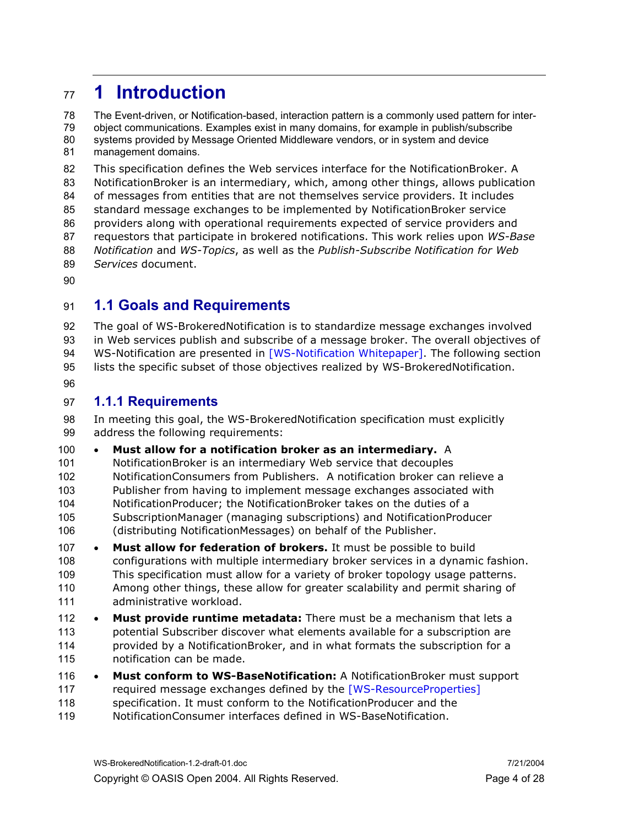## 1 Introduction

78 The Event-driven, or Notification-based, interaction pattern is a commonly used pattern for inter-79 object communications. Examples exist in many domains, for example in publish/subscribe 80 systems provided by Message Oriented Middleware vendors, or in system and device 81 management domains.

This specification defines the Web services interface for the NotificationBroker. A NotificationBroker is an intermediary, which, among other things, allows publication of messages from entities that are not themselves service providers. It includes standard message exchanges to be implemented by NotificationBroker service providers along with operational requirements expected of service providers and 87 requestors that participate in brokered notifications. This work relies upon WS-Base 88 Notification and WS-Topics, as well as the Publish-Subscribe Notification for Web 89 Services document.

## 91 1.1 Goals and Requirements

The goal of WS-BrokeredNotification is to standardize message exchanges involved in Web services publish and subscribe of a message broker. The overall objectives of 94 WS-Notification are presented in [WS-Notification Whitepaper]. The following section lists the specific subset of those objectives realized by WS-BrokeredNotification.

### 1.1.1 Requirements

In meeting this goal, the WS-BrokeredNotification specification must explicitly address the following requirements:

#### • Must allow for a notification broker as an intermediary. A

- NotificationBroker is an intermediary Web service that decouples NotificationConsumers from Publishers. A notification broker can relieve a Publisher from having to implement message exchanges associated with
- NotificationProducer; the NotificationBroker takes on the duties of a SubscriptionManager (managing subscriptions) and NotificationProducer
- (distributing NotificationMessages) on behalf of the Publisher.
- 107 Must allow for federation of brokers. It must be possible to build configurations with multiple intermediary broker services in a dynamic fashion. This specification must allow for a variety of broker topology usage patterns. Among other things, these allow for greater scalability and permit sharing of administrative workload.
- 112 Must provide runtime metadata: There must be a mechanism that lets a potential Subscriber discover what elements available for a subscription are provided by a NotificationBroker, and in what formats the subscription for a notification can be made.
- 116 Must conform to WS-BaseNotification: A NotificationBroker must support required message exchanges defined by the [WS-ResourceProperties] specification. It must conform to the NotificationProducer and the
- NotificationConsumer interfaces defined in WS-BaseNotification.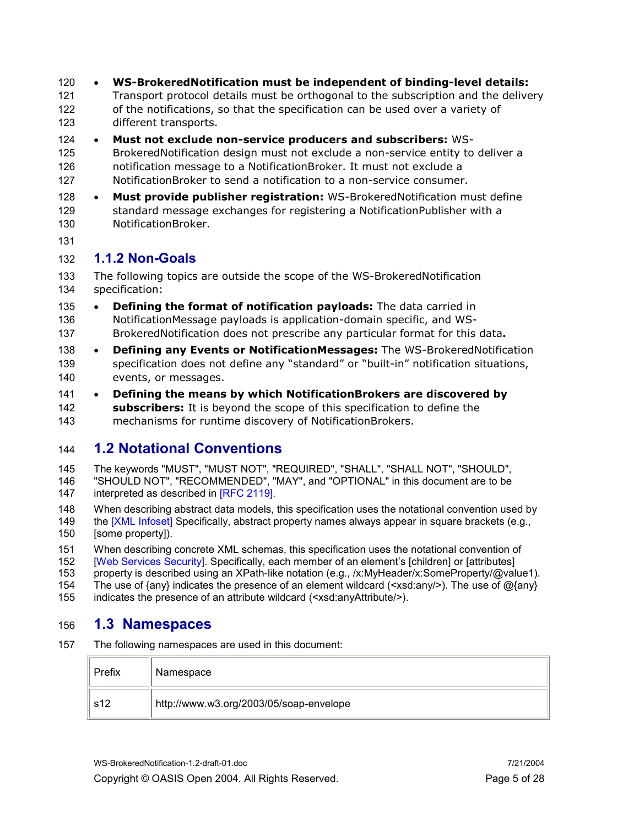- 120 WS-BrokeredNotification must be independent of binding-level details:
- 121 Transport protocol details must be orthogonal to the subscription and the delivery 122 of the notifications, so that the specification can be used over a variety of 123 different transports.
- 124 Must not exclude non-service producers and subscribers: WS-125 BrokeredNotification design must not exclude a non-service entity to deliver a 126 notification message to a NotificationBroker. It must not exclude a 127 NotificationBroker to send a notification to a non-service consumer.
- 128 Must provide publisher registration: WS-BrokeredNotification must define 129 standard message exchanges for registering a NotificationPublisher with a 130 NotificationBroker.
- 131

#### 132 1.1.2 Non-Goals

133 The following topics are outside the scope of the WS-BrokeredNotification 134 specification:

- 135 Defining the format of notification payloads: The data carried in 136 NotificationMessage payloads is application-domain specific, and WS-137 BrokeredNotification does not prescribe any particular format for this data.
- 138 Defining any Events or NotificationMessages: The WS-BrokeredNotification 139 specification does not define any "standard" or "built-in" notification situations, 140 events, or messages.
- 141 Defining the means by which NotificationBrokers are discovered by 142 **subscribers:** It is beyond the scope of this specification to define the 143 mechanisms for runtime discovery of NotificationBrokers.

## 144 1.2 Notational Conventions

145 The keywords "MUST", "MUST NOT", "REQUIRED", "SHALL", "SHALL NOT", "SHOULD", 146 "SHOULD NOT", "RECOMMENDED", "MAY", and "OPTIONAL" in this document are to be 147 interpreted as described in [RFC 2119].

148 When describing abstract data models, this specification uses the notational convention used by 149 the [XML Infoset] Specifically, abstract property names always appear in square brackets (e.g., 150 [some property]).

151 When describing concrete XML schemas, this specification uses the notational convention of 152<br>152 Web Services Securityl, Specifically, each member of an element's [children] or [attributes] [Web Services Security]. Specifically, each member of an element's [children] or [attributes]

153 property is described using an XPath-like notation (e.g., /x:MyHeader/x:SomeProperty/@value1).

154 The use of {any} indicates the presence of an element wildcard (<xsd:any/>). The use of @{any}

155 indicates the presence of an attribute wildcard (<xsd:anyAttribute/>).

## 156 1.3 Namespaces

157 The following namespaces are used in this document:

| Prefix | Namespace                               |
|--------|-----------------------------------------|
| s12    | http://www.w3.org/2003/05/soap-envelope |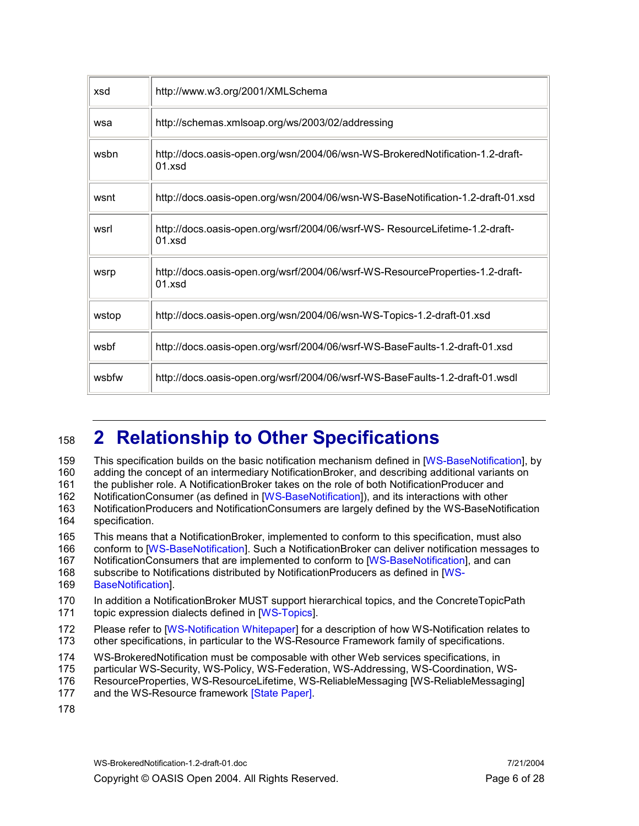| xsd   | http://www.w3.org/2001/XMLSchema                                                          |
|-------|-------------------------------------------------------------------------------------------|
| wsa   | http://schemas.xmlsoap.org/ws/2003/02/addressing                                          |
| wsbn  | http://docs.oasis-open.org/wsn/2004/06/wsn-WS-BrokeredNotification-1.2-draft-<br>01.xsd   |
| wsnt  | http://docs.oasis-open.org/wsn/2004/06/wsn-WS-BaseNotification-1.2-draft-01.xsd           |
| wsrl  | http://docs.oasis-open.org/wsrf/2004/06/wsrf-WS-ResourceLifetime-1.2-draft-<br>$01$ xsd   |
| wsrp  | http://docs.oasis-open.org/wsrf/2004/06/wsrf-WS-ResourceProperties-1.2-draft-<br>$01$ xsd |
| wstop | http://docs.oasis-open.org/wsn/2004/06/wsn-WS-Topics-1.2-draft-01.xsd                     |
| wsbf  | http://docs.oasis-open.org/wsrf/2004/06/wsrf-WS-BaseFaults-1.2-draft-01.xsd               |
| wsbfw | http://docs.oasis-open.org/wsrf/2004/06/wsrf-WS-BaseFaults-1.2-draft-01.wsdl              |

# 158 2 Relationship to Other Specifications

159 This specification builds on the basic notification mechanism defined in [WS-BaseNotification], by 160 adding the concept of an intermediary NotificationBroker, and describing additional variants on 161 the publisher role. A NotificationBroker takes on the role of both NotificationProducer and 162 NotificationConsumer (as defined in [WS-BaseNotification]), and its interactions with other 163 NotificationProducers and NotificationConsumers are largely defined by the WS-BaseNotification 164 specification.

165 This means that a NotificationBroker, implemented to conform to this specification, must also

166 conform to [WS-BaseNotification]. Such a NotificationBroker can deliver notification messages to

167 NotificationConsumers that are implemented to conform to [WS-BaseNotification], and can

- 168 subscribe to Notifications distributed by NotificationProducers as defined in [WS-169 BaseNotification].
- 

170 In addition a NotificationBroker MUST support hierarchical topics, and the ConcreteTopicPath 171 topic expression dialects defined in [WS-Topics].

- 172 Please refer to [WS-Notification Whitepaper] for a description of how WS-Notification relates to 173 other specifications, in particular to the WS-Resource Framework family of specifications.
- 174 WS-BrokeredNotification must be composable with other Web services specifications, in
- 175 particular WS-Security, WS-Policy, WS-Federation, WS-Addressing, WS-Coordination, WS-
- 176 ResourceProperties, WS-ResourceLifetime, WS-ReliableMessaging [WS-ReliableMessaging]
- 177 and the WS-Resource framework [State Paper].
- 178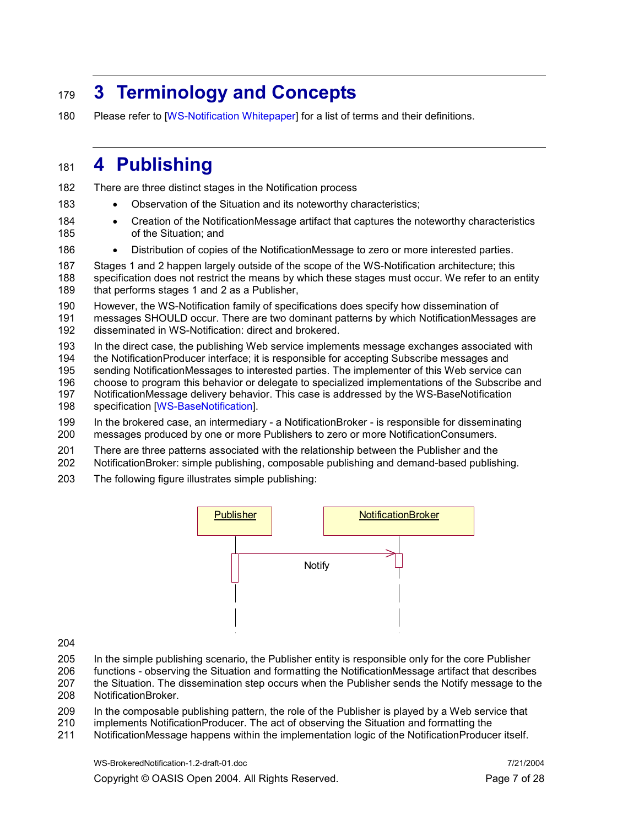# 179 3 Terminology and Concepts

180 Please refer to [WS-Notification Whitepaper] for a list of terms and their definitions.

## 181 4 Publishing

182 There are three distinct stages in the Notification process

- 183 Observation of the Situation and its noteworthy characteristics;
- 184 Creation of the NotificationMessage artifact that captures the noteworthy characteristics 185 of the Situation; and
- 186 Distribution of copies of the NotificationMessage to zero or more interested parties.

187 Stages 1 and 2 happen largely outside of the scope of the WS-Notification architecture; this 188 specification does not restrict the means by which these stages must occur. We refer to an entity 189 that performs stages 1 and 2 as a Publisher,

190 However, the WS-Notification family of specifications does specify how dissemination of

191 messages SHOULD occur. There are two dominant patterns by which NotificationMessages are 192 disseminated in WS-Notification: direct and brokered.

193 In the direct case, the publishing Web service implements message exchanges associated with

- 194 the NotificationProducer interface; it is responsible for accepting Subscribe messages and
- 195 sending NotificationMessages to interested parties. The implementer of this Web service can 196 choose to program this behavior or delegate to specialized implementations of the Subscribe and
- 197 NotificationMessage delivery behavior. This case is addressed by the WS-BaseNotification
- 198 specification [WS-BaseNotification].
- 199 In the brokered case, an intermediary a NotificationBroker is responsible for disseminating 200 messages produced by one or more Publishers to zero or more NotificationConsumers.
- 201 There are three patterns associated with the relationship between the Publisher and the
- 202 NotificationBroker: simple publishing, composable publishing and demand-based publishing.
- 203 The following figure illustrates simple publishing:



- 204
- 205 In the simple publishing scenario, the Publisher entity is responsible only for the core Publisher
- 206 functions observing the Situation and formatting the NotificationMessage artifact that describes
- 207 the Situation. The dissemination step occurs when the Publisher sends the Notify message to the 208 NotificationBroker.
- 209 In the composable publishing pattern, the role of the Publisher is played by a Web service that
- 210 implements NotificationProducer. The act of observing the Situation and formatting the
- 211 NotificationMessage happens within the implementation logic of the NotificationProducer itself.

WS-BrokeredNotification-1.2-draft-01.doc 7/21/2004 Copyright © OASIS Open 2004. All Rights Reserved. Page 7 of 28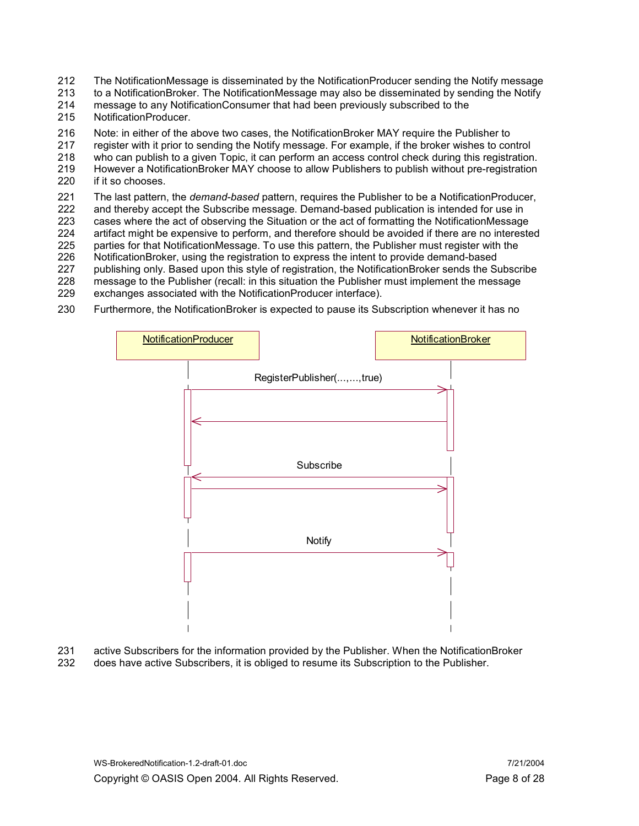212 The NotificationMessage is disseminated by the NotificationProducer sending the Notify message<br>213 to a NotificationBroker. The NotificationMessage may also be disseminated by sending the Notify

to a NotificationBroker. The NotificationMessage may also be disseminated by sending the Notify

214 message to any NotificationConsumer that had been previously subscribed to the 215 NotificationProducer.

NotificationProducer.

216 Note: in either of the above two cases, the NotificationBroker MAY require the Publisher to 217 requister with it prior to sending the Notify message. For example, if the broker wishes to cor

register with it prior to sending the Notify message. For example, if the broker wishes to control

218 who can publish to a given Topic, it can perform an access control check during this registration.

219 However a NotificationBroker MAY choose to allow Publishers to publish without pre-registration 220 if it so chooses.

221 The last pattern, the *demand-based* pattern, requires the Publisher to be a NotificationProducer, 222 and thereby accept the Subscribe message. Demand-based publication is intended for use in

223 cases where the act of observing the Situation or the act of formatting the NotificationMessage 224 artifact might be expensive to perform, and therefore should be avoided if there are no interested

225 parties for that NotificationMessage. To use this pattern, the Publisher must register with the 226 NotificationBroker, using the registration to express the intent to provide demand-based

226 NotificationBroker, using the registration to express the intent to provide demand-based<br>227 publishing only. Based upon this style of registration, the NotificationBroker sends the Su publishing only. Based upon this style of registration, the NotificationBroker sends the Subscribe

- 228 message to the Publisher (recall: in this situation the Publisher must implement the message exchanges associated with the NotificationProducer interface).
- exchanges associated with the NotificationProducer interface).
- 230 Furthermore, the NotificationBroker is expected to pause its Subscription whenever it has no



231 active Subscribers for the information provided by the Publisher. When the NotificationBroker 232 does have active Subscribers, it is obliged to resume its Subscription to the Publisher.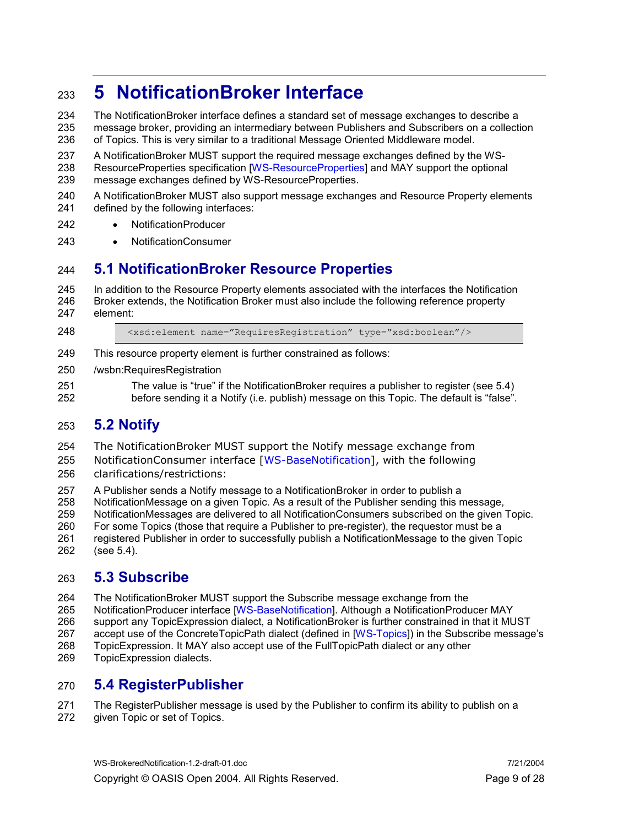# <sup>233</sup>5 NotificationBroker Interface

234 The NotificationBroker interface defines a standard set of message exchanges to describe a 235 message broker, providing an intermediary between Publishers and Subscribers on a collection<br>236 of Topics. This is verv similar to a traditional Message Oriented Middleware model. 236 of Topics. This is very similar to a traditional Message Oriented Middleware model.

237 A NotificationBroker MUST support the required message exchanges defined by the WS-238 ResourceProperties specification [WS-ResourceProperties] and MAY support the optional

- 239 message exchanges defined by WS-ResourceProperties.
- 240 A NotificationBroker MUST also support message exchanges and Resource Property elements 241 defined by the following interfaces:
- 242 NotificationProducer
- 243 NotificationConsumer

## 244 5.1 NotificationBroker Resource Properties

- 245 In addition to the Resource Property elements associated with the interfaces the Notification 246 Broker extends, the Notification Broker must also include the following reference property 247 element:
- 

248 <xsd:element name="RequiresRegistration" type="xsd:boolean"/>

- 249 This resource property element is further constrained as follows:
- 250 /wsbn:RequiresRegistration
- 251 The value is "true" if the NotificationBroker requires a publisher to register (see 5.4) 252 before sending it a Notify (i.e. publish) message on this Topic. The default is "false".

## 253 5.2 Notify

- 254 The NotificationBroker MUST support the Notify message exchange from
- 255 NotificationConsumer interface [WS-BaseNotification], with the following
- 256 clarifications/restrictions:
- 257 A Publisher sends a Notify message to a NotificationBroker in order to publish a
- 258 NotificationMessage on a given Topic. As a result of the Publisher sending this message,
- 259 NotificationMessages are delivered to all NotificationConsumers subscribed on the given Topic.
- 260 For some Topics (those that require a Publisher to pre-register), the requestor must be a
- 261 registered Publisher in order to successfully publish a NotificationMessage to the given Topic 262 (see 5.4).

## 263 5.3 Subscribe

- 264 The NotificationBroker MUST support the Subscribe message exchange from the
- 265 NotificationProducer interface [WS-BaseNotification]. Although a NotificationProducer MAY
- 266 support any TopicExpression dialect, a NotificationBroker is further constrained in that it MUST
- 267 accept use of the ConcreteTopicPath dialect (defined in [WS-Topics]) in the Subscribe message's
- 268 TopicExpression. It MAY also accept use of the FullTopicPath dialect or any other
- 269 TopicExpression dialects.

## 270 5.4 RegisterPublisher

- 271 The RegisterPublisher message is used by the Publisher to confirm its ability to publish on a
- 272 given Topic or set of Topics.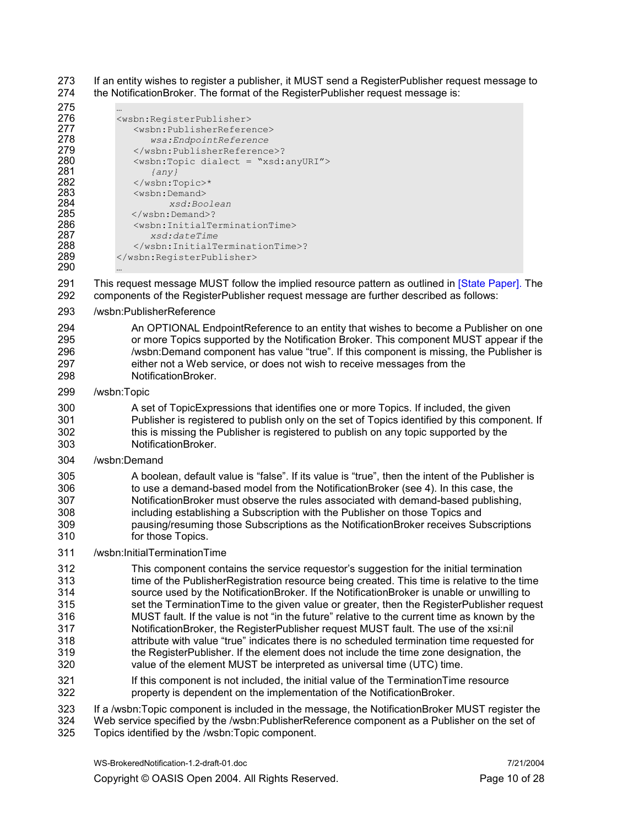273 If an entity wishes to register a publisher, it MUST send a RegisterPublisher request message to 274 the NotificationBroker. The format of the RegisterPublisher request message is:

| 275 | $\cdots$                                                    |
|-----|-------------------------------------------------------------|
| 276 | <wsbn:registerpublisher></wsbn:registerpublisher>           |
| 277 | <wsbn:publisherreference></wsbn:publisherreference>         |
| 278 | wsa:EndpointReference                                       |
| 279 | ?                                                           |
| 280 | <wsbn:topic dialect="xsd:anyURI"></wsbn:topic>              |
| 281 | $\{any\}$                                                   |
| 282 | $\langle$ /wsbn:Topic>*                                     |
| 283 | <wsbn:demand></wsbn:demand>                                 |
| 284 | xsd:Boolean                                                 |
| 285 | $\langle$ /wsbn:Demand>?                                    |
| 286 | <wsbn:initialterminationtime></wsbn:initialterminationtime> |
| 287 | xsd:dateTime                                                |
| 288 | ?                                                           |
| 289 |                                                             |
| 290 |                                                             |

291 This request message MUST follow the implied resource pattern as outlined in [State Paper]. The 292 components of the RegisterPublisher request message are further described as follows:

#### 293 /wsbn:PublisherReference

294 An OPTIONAL EndpointReference to an entity that wishes to become a Publisher on one 295 <sup>or more</sup> Topics supported by the Notification Broker. This component MUST appear if the<br>296 /wsbn:Demand component has value "true". If this component is missing, the Publisher is /wsbn:Demand component has value "true". If this component is missing, the Publisher is 297 either not a Web service, or does not wish to receive messages from the 298 NotificationBroker.

#### 299 /wsbn:Topic

300 A set of TopicExpressions that identifies one or more Topics. If included, the given 301 Publisher is registered to publish only on the set of Topics identified by this component. If 302 this is missing the Publisher is registered to publish on any topic supported by the 303 NotificationBroker.

#### 304 /wsbn:Demand

#### 305 A boolean, default value is "false". If its value is "true", then the intent of the Publisher is 306 to use a demand-based model from the NotificationBroker (see 4). In this case, the<br>307 NotificationBroker must observe the rules associated with demand-based publishing NotificationBroker must observe the rules associated with demand-based publishing, 308 including establishing a Subscription with the Publisher on those Topics and 309 pausing/resuming those Subscriptions as the NotificationBroker receives Subscriptions 310 for those Topics.

#### 311 /wsbn:InitialTerminationTime

312 This component contains the service requestor's suggestion for the initial termination 313 time of the PublisherRegistration resource being created. This time is relative to the time<br>314 source used by the NotificationBroker. If the NotificationBroker is unable or unwilling to source used by the NotificationBroker. If the NotificationBroker is unable or unwilling to 315 set the TerminationTime to the given value or greater, then the RegisterPublisher request 316 MUST fault. If the value is not "in the future" relative to the current time as known by the 317 NotificationBroker, the RegisterPublisher request MUST fault. The use of the xsi:nil 318 attribute with value "true" indicates there is no scheduled termination time requested for 319 the RegisterPublisher. If the element does not include the time zone designation, the 320 value of the element MUST be interpreted as universal time (UTC) time.

321 If this component is not included, the initial value of the TerminationTime resource 322 property is dependent on the implementation of the NotificationBroker.

323 If a /wsbn:Topic component is included in the message, the NotificationBroker MUST register the

324 Web service specified by the /wsbn:PublisherReference component as a Publisher on the set of 325 Topics identified by the /wsbn:Topic component.

WS-BrokeredNotification-1.2-draft-01.doc 7/21/2004

Copyright © OASIS Open 2004. All Rights Reserved. Page 10 of 28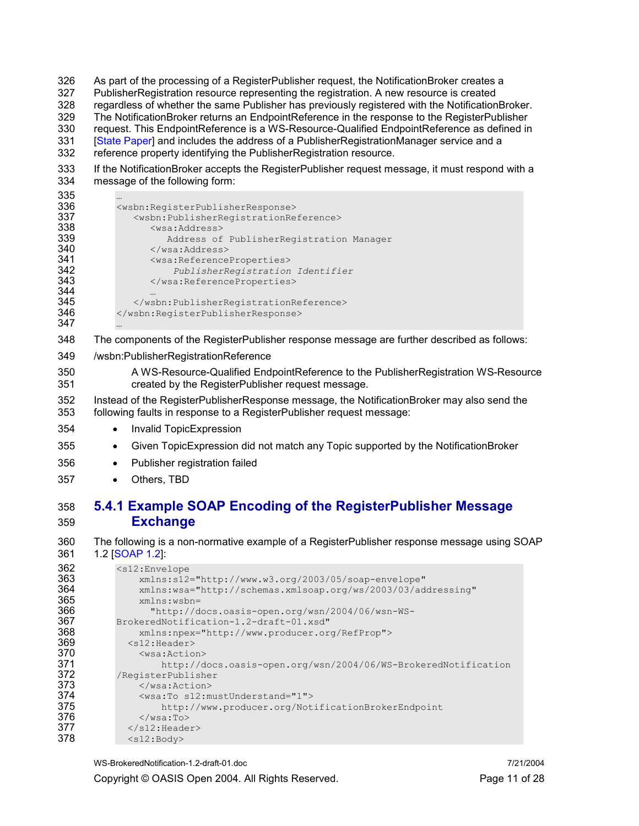- 326 As part of the processing of a RegisterPublisher request, the NotificationBroker creates a 327 PublisherRegistration resource representing the registration. A new resource is created 328 regardless of whether the same Publisher has previously registered with the NotificationBroker.<br>329 The NotificationBroker returns an EndpointReference in the response to the RegisterPublisher The NotificationBroker returns an EndpointReference in the response to the RegisterPublisher 330 request. This EndpointReference is a WS-Resource-Qualified EndpointReference as defined in 331 [State Paper] and includes the address of a PublisherRegistrationManager service and a 332 reference property identifying the PublisherRegistration resource.
- 333 If the NotificationBroker accepts the RegisterPublisher request message, it must respond with a 334 message of the following form:
- 335<br>336
- 336 <wsbn:RegisterPublisherResponse><br>337 <wsbn:PublisherRegistrationRe 337 <wsbn:PublisherRegistrationReference> 338 <wsa:Address><br>339 Address of 339 Address of PublisherRegistration Manager 340 </wsa:Address><br>341 <wsa:Referencel 341 <wsa:ReferenceProperties><br>342 PublisherRegistration 342 PublisherRegistration Identifier 343 </wsa:ReferenceProperties> 345 </wsbn:PublisherRegistrationReference><br>346 </wsbn:RegisterPublisherResponse> 346 </wsbn:RegisterPublisherResponse>
- 347 …

344<br>345

- 348 The components of the RegisterPublisher response message are further described as follows:
- 349 /wsbn:PublisherRegistrationReference
- 350 A WS-Resource-Qualified EndpointReference to the PublisherRegistration WS-Resource created by the RegisterPublisher request message.
- 352 Instead of the RegisterPublisherResponse message, the NotificationBroker may also send the 353 following faults in response to a RegisterPublisher request message:
- 354 Invalid TopicExpression
- 355 Given TopicExpression did not match any Topic supported by the NotificationBroker
- 356 Publisher registration failed
- 357 Others, TBD
- 358 5.4.1 Example SOAP Encoding of the RegisterPublisher Message 359 Exchange
- 360 The following is a non-normative example of a RegisterPublisher response message using SOAP 361 1.2 [SOAP 1.2]:

| 362 | $<$ s $12$ : Envelope                                          |
|-----|----------------------------------------------------------------|
| 363 | $xmlns:s12="http://www.w3.org/2003/05/soap-envelope"$          |
| 364 | xmlns:wsa="http://schemas.xmlsoap.org/ws/2003/03/addressing"   |
| 365 | $xmlns:wsbn =$                                                 |
| 366 | "http://docs.oasis-open.org/wsn/2004/06/wsn-WS-                |
| 367 | BrokeredNotification-1.2-draft-01.xsd"                         |
| 368 | xmlns:npex="http://www.producer.org/RefProp">                  |
| 369 | $<$ s $12$ : Header>                                           |
| 370 | $<$ wsa:Action $>$                                             |
| 371 | http://docs.oasis-open.org/wsn/2004/06/WS-BrokeredNotification |
| 372 | /RegisterPublisher                                             |
| 373 | $\langle$ /wsa:Action>                                         |
| 374 | <wsa:to s12:mustunderstand="1"></wsa:to>                       |
| 375 | http://www.producer.org/NotificationBrokerEndpoint             |
| 376 | $\langle$ /wsa:To>                                             |
| 377 | $\langle$ /s12:Header>                                         |
| 378 | $<$ s $12$ : Body>                                             |
|     |                                                                |

WS-BrokeredNotification-1.2-draft-01.doc 7/21/2004

Copyright © OASIS Open 2004. All Rights Reserved. Page 11 of 28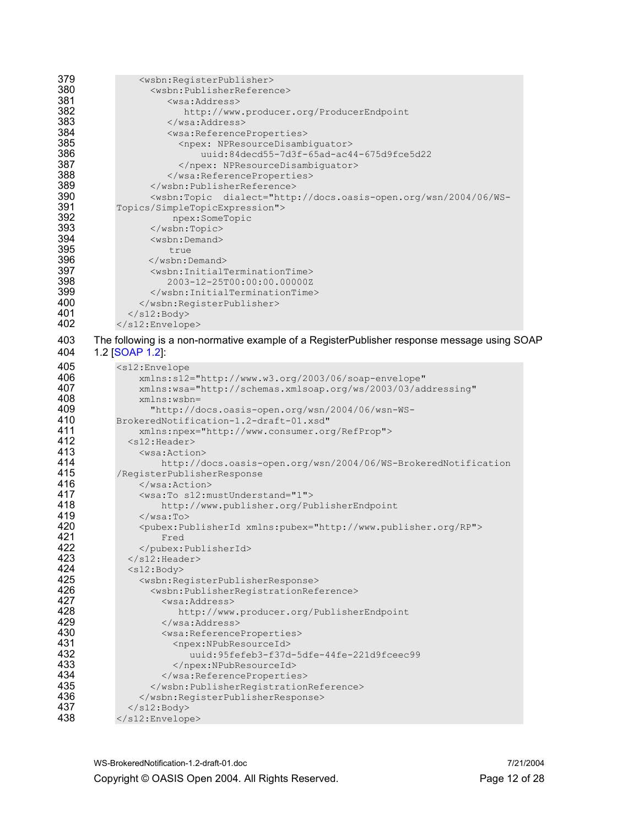| 379<br>380<br>381<br>382<br>383<br>384<br>385<br>386<br>387<br>388                             | <wsbn:registerpublisher><br/><wsbn:publisherreference><br/><wsa:address><br/>http://www.producer.org/ProducerEndpoint<br/></wsa:address><br/><wsa:referenceproperties><br/><npex: npresourcedisambiguator=""><br/>uuid:84decd55-7d3f-65ad-ac44-675d9fce5d22<br/></npex:><br/></wsa:referenceproperties></wsbn:publisherreference></wsbn:registerpublisher>                                                                |
|------------------------------------------------------------------------------------------------|---------------------------------------------------------------------------------------------------------------------------------------------------------------------------------------------------------------------------------------------------------------------------------------------------------------------------------------------------------------------------------------------------------------------------|
| 389<br>390<br>391<br>392<br>393<br>394<br>395<br>396<br>397<br>398<br>399<br>400<br>401<br>402 | <br><wsbn:topic dialect="http://docs.oasis-open.org/wsn/2004/06/WS-&lt;br&gt;Topics/SimpleTopicExpression"><br/>npex:SomeTopic<br/></wsbn:topic><br><wsbn:demand><br/>true<br/><math>\langle</math>/wsbn:Demand&gt;<br/><wsbn:initialterminationtime><br/>2003-12-25T00:00:00.00000Z<br/></wsbn:initialterminationtime><br/><br/><math>\langle</math>/s12:Body&gt;<br/></wsbn:demand>                                     |
| 403<br>404                                                                                     | The following is a non-normative example of a RegisterPublisher response message using SOAP<br>1.2 [SOAP 1.2]:                                                                                                                                                                                                                                                                                                            |
| 405<br>406<br>407<br>408<br>409<br>410<br>411<br>412<br>413<br>414                             | $<$ s $12$ : Envelope<br>xmlns:s12="http://www.w3.org/2003/06/soap-envelope"<br>xmlns:wsa="http://schemas.xmlsoap.org/ws/2003/03/addressing"<br>xmlns:wsbn=<br>"http://docs.oasis-open.org/wsn/2004/06/wsn-WS-<br>BrokeredNotification-1.2-draft-01.xsd"<br>xmlns:npex="http://www.consumer.org/RefProp"><br>$<$ s $12$ : Header><br>$<$ wsa:Action $>$<br>http://docs.oasis-open.org/wsn/2004/06/WS-BrokeredNotification |
| 415<br>416<br>417<br>418<br>419                                                                | /RegisterPublisherResponse<br>$\langle$ /wsa:Action><br><wsa:to s12:mustunderstand="1"><br/>http://www.publisher.org/PublisherEndpoint<br/><math>\langle</math>/wsa:To&gt;</wsa:to>                                                                                                                                                                                                                                       |
| 420<br>421<br>422<br>423<br>424<br>425                                                         | <pubex:publisherid xmlns:pubex="http://www.publisher.org/RP"><br/>Fred<br/></pubex:publisherid><br>$\langle$ /s12:Header><br>$<$ s $12$ : Body>                                                                                                                                                                                                                                                                           |
| 426<br>427<br>428<br>429<br>430                                                                | <wsbn:registerpublisherresponse><br/><wsbn:publisherregistrationreference><br/><wsa:address><br/>http://www.producer.org/PublisherEndpoint<br/></wsa:address><br/><wsa:referenceproperties></wsa:referenceproperties></wsbn:publisherregistrationreference></wsbn:registerpublisherresponse>                                                                                                                              |
| 431<br>432<br>433<br>434<br>435<br>436<br>437                                                  | <npex:npubresourceid><br/>uuid:95fefeb3-f37d-5dfe-44fe-221d9fceec99<br/></npex:npubresourceid><br><br><br><br>$\langle$ /s12:Body>                                                                                                                                                                                                                                                                                        |
| 438                                                                                            |                                                                                                                                                                                                                                                                                                                                                                                                                           |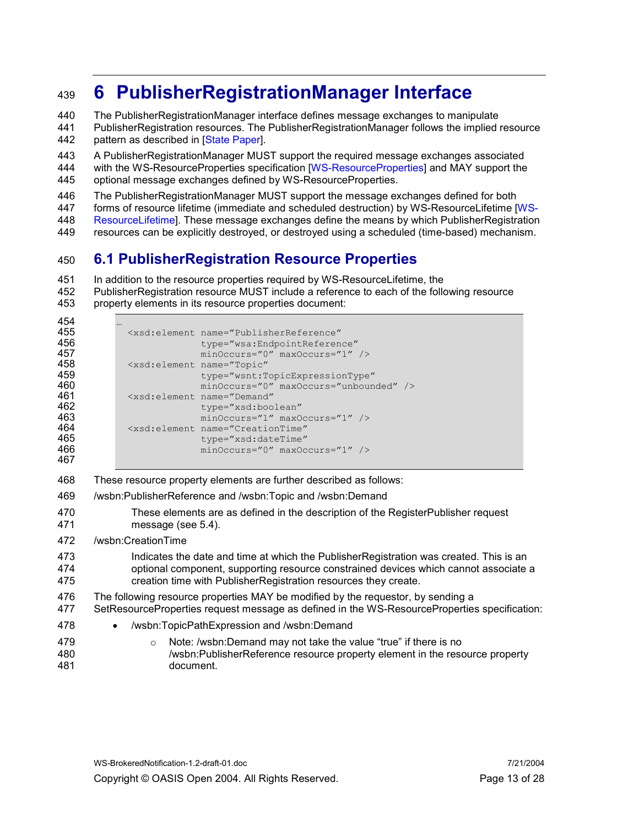# <sup>439</sup>6 PublisherRegistrationManager Interface

440 The PublisherRegistrationManager interface defines message exchanges to manipulate

441 PublisherRegistration resources. The PublisherRegistrationManager follows the implied resource 442 pattern as described in [State Paper].

443 A PublisherRegistrationManager MUST support the required message exchanges associated 444 with the WS-ResourceProperties specification [WS-ResourceProperties] and MAY support the

445 optional message exchanges defined by WS-ResourceProperties.

446 The PublisherRegistrationManager MUST support the message exchanges defined for both<br>447 forms of resource lifetime (immediate and scheduled destruction) by WS-ResourceLifetime D

forms of resource lifetime (immediate and scheduled destruction) by WS-ResourceLifetime [WS-

448 ResourceLifetime]. These message exchanges define the means by which PublisherRegistration

449 resources can be explicitly destroyed, or destroyed using a scheduled (time-based) mechanism.

## 450 6.1 PublisherRegistration Resource Properties

- 
- 451 In addition to the resource properties required by WS-ResourceLifetime, the<br>452 PublisherRegistration resource MUST include a reference to each of the follo PublisherRegistration resource MUST include a reference to each of the following resource 453 property elements in its resource properties document:
- 454 …

| 455<br>456 | <xsd:element <br="" name="PublisherReference">type="wsa:EndpointReference"</xsd:element> |
|------------|------------------------------------------------------------------------------------------|
| 457        | $minOccurs="0" maxOccurs="1"$                                                            |
| 458        | <xsd:element <="" name="Topic" th=""></xsd:element>                                      |
| 459        | type="wsnt:TopicExpressionType"                                                          |
| 460        | minOccurs="0" maxOccurs="unbounded" />                                                   |
| 461        | <xsd:element <="" name="Demand" th=""></xsd:element>                                     |
| 462        | type="xsd:boolean"                                                                       |
| 463        | minOccurs="1" maxOccurs="1" />                                                           |
| 464        | <xsd:element <="" name="CreationTime" th=""></xsd:element>                               |
| 465        | type="xsd:dateTime"                                                                      |
| 466        | $minOccurs="0" maxOccurs="1"$                                                            |
| 467        |                                                                                          |

468 These resource property elements are further described as follows:

- 469 /wsbn:PublisherReference and /wsbn:Topic and /wsbn:Demand
- 470 These elements are as defined in the description of the RegisterPublisher request 471 message (see 5.4).
- 472 /wsbn:CreationTime
- 473 Indicates the date and time at which the PublisherRegistration was created. This is an 474 optional component, supporting resource constrained devices which cannot associate a 475 creation time with PublisherRegistration resources they create.
- 476 The following resource properties MAY be modified by the requestor, by sending a
- 477 SetResourceProperties request message as defined in the WS-ResourceProperties specification:
- 478 /wsbn:TopicPathExpression and /wsbn:Demand
- 479 o Note: /wsbn:Demand may not take the value "true" if there is no 480 /wsbn:PublisherReference resource property element in the resource property
- 481 document.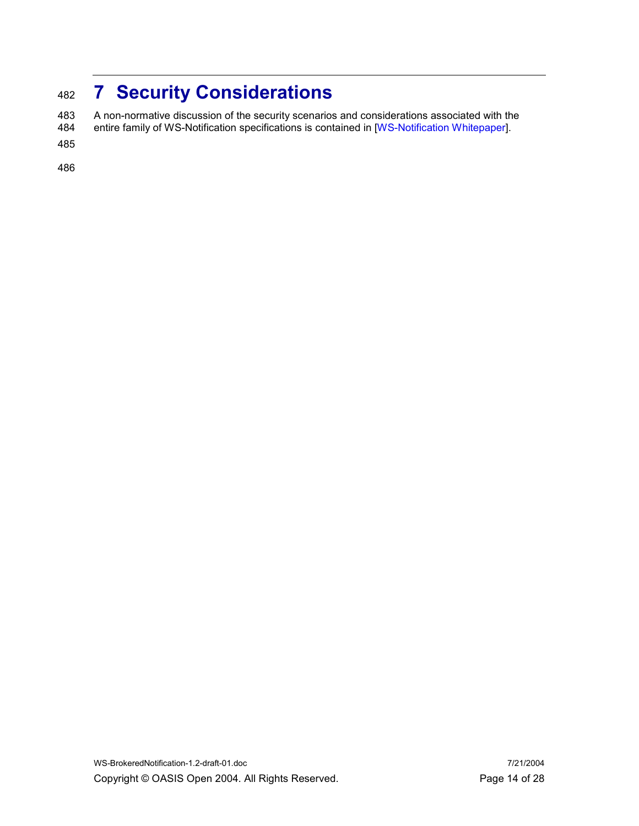# 482 7 Security Considerations

483 A non-normative discussion of the security scenarios and considerations associated with the<br>484 entire family of WS-Notification specifications is contained in [WS-Notification Whitepaper]. entire family of WS-Notification specifications is contained in [WS-Notification Whitepaper].

485

486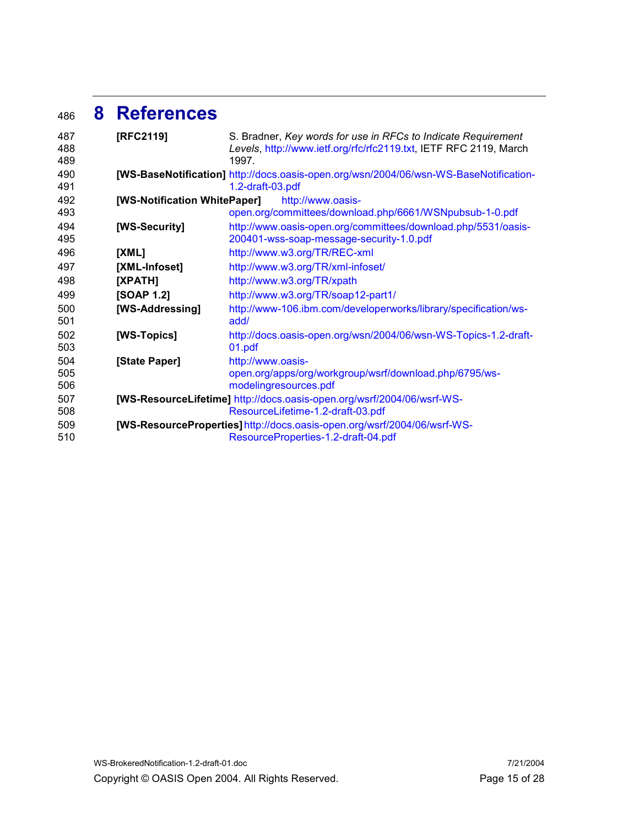## <sup>486</sup>8 References

| 487 | [RFC2119]                    | S. Bradner, Key words for use in RFCs to Indicate Requirement                         |
|-----|------------------------------|---------------------------------------------------------------------------------------|
| 488 |                              | Levels, http://www.ietf.org/rfc/rfc2119.txt, IETF RFC 2119, March                     |
| 489 |                              | 1997.                                                                                 |
| 490 |                              | [WS-BaseNotification] http://docs.oasis-open.org/wsn/2004/06/wsn-WS-BaseNotification- |
| 491 |                              | 1.2-draft-03.pdf                                                                      |
| 492 | [WS-Notification WhitePaper] | http://www.oasis-                                                                     |
| 493 |                              | open.org/committees/download.php/6661/WSNpubsub-1-0.pdf                               |
| 494 | [WS-Security]                | http://www.oasis-open.org/committees/download.php/5531/oasis-                         |
| 495 |                              | 200401-wss-soap-message-security-1.0.pdf                                              |
| 496 | [XML]                        | http://www.w3.org/TR/REC-xml                                                          |
| 497 | [XML-Infoset]                | http://www.w3.org/TR/xml-infoset/                                                     |
| 498 | [XPATH]                      | http://www.w3.org/TR/xpath                                                            |
| 499 | <b>[SOAP 1.2]</b>            | http://www.w3.org/TR/soap12-part1/                                                    |
| 500 | [WS-Addressing]              | http://www-106.ibm.com/developerworks/library/specification/ws-                       |
| 501 |                              | add/                                                                                  |
| 502 | [WS-Topics]                  | http://docs.oasis-open.org/wsn/2004/06/wsn-WS-Topics-1.2-draft-                       |
| 503 |                              | 01.pdf                                                                                |
| 504 | [State Paper]                | http://www.oasis-                                                                     |
| 505 |                              | open.org/apps/org/workgroup/wsrf/download.php/6795/ws-                                |
| 506 |                              | modelingresources.pdf                                                                 |
| 507 |                              | [WS-ResourceLifetime] http://docs.oasis-open.org/wsrf/2004/06/wsrf-WS-                |
| 508 |                              | ResourceLifetime-1.2-draft-03.pdf                                                     |
| 509 |                              | [WS-ResourceProperties] http://docs.oasis-open.org/wsrf/2004/06/wsrf-WS-              |
| 510 |                              | ResourceProperties-1.2-draft-04.pdf                                                   |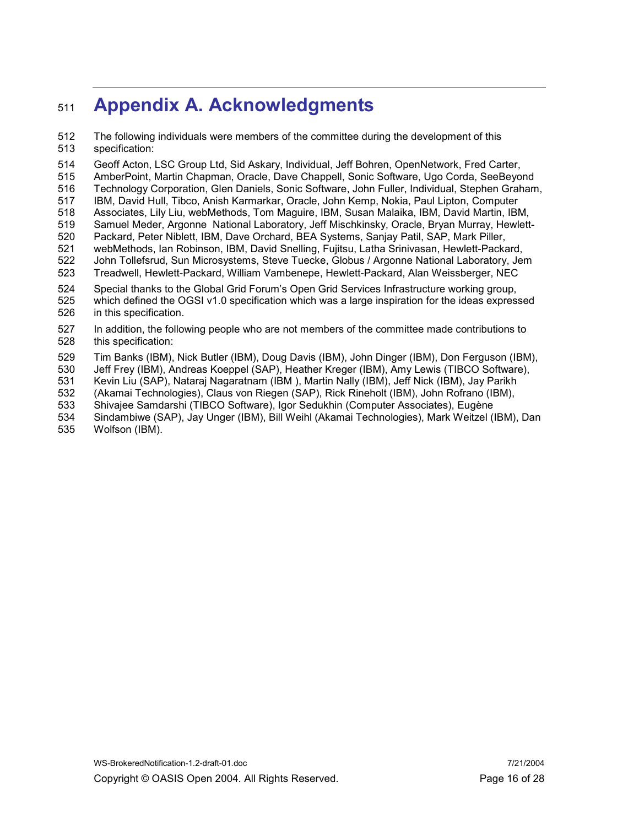# 511 **Appendix A. Acknowledgments**

512 The following individuals were members of the committee during the development of this 513 specification:

514 Geoff Acton, LSC Group Ltd, Sid Askary, Individual, Jeff Bohren, OpenNetwork, Fred Carter,

515 AmberPoint, Martin Chapman, Oracle, Dave Chappell, Sonic Software, Ugo Corda, SeeBeyond 516 Technology Corporation, Glen Daniels, Sonic Software, John Fuller, Individual, Stephen Graham,

517 IBM, David Hull, Tibco, Anish Karmarkar, Oracle, John Kemp, Nokia, Paul Lipton, Computer

- 518 Associates, Lily Liu, webMethods, Tom Maguire, IBM, Susan Malaika, IBM, David Martin, IBM,
- 519 Samuel Meder, Argonne National Laboratory, Jeff Mischkinsky, Oracle, Bryan Murray, Hewlett-
- 520 Packard, Peter Niblett, IBM, Dave Orchard, BEA Systems, Sanjay Patil, SAP, Mark Piller,
- 521 webMethods, Ian Robinson, IBM, David Snelling, Fujitsu, Latha Srinivasan, Hewlett-Packard, 522 John Tollefsrud, Sun Microsystems, Steve Tuecke, Globus / Argonne National Laboratory, Jem 523 Treadwell, Hewlett-Packard, William Vambenepe, Hewlett-Packard, Alan Weissberger, NEC
- 
- 524 Special thanks to the Global Grid Forum's Open Grid Services Infrastructure working group, 525 which defined the OGSI v1.0 specification which was a large inspiration for the ideas expressed
- 526 in this specification.
- 527 In addition, the following people who are not members of the committee made contributions to 528 this specification:
- 529 Tim Banks (IBM), Nick Butler (IBM), Doug Davis (IBM), John Dinger (IBM), Don Ferguson (IBM),
- 530 Jeff Frey (IBM), Andreas Koeppel (SAP), Heather Kreger (IBM), Amy Lewis (TIBCO Software),
- 531 Kevin Liu (SAP), Nataraj Nagaratnam (IBM ), Martin Nally (IBM), Jeff Nick (IBM), Jay Parikh
- 532 (Akamai Technologies), Claus von Riegen (SAP), Rick Rineholt (IBM), John Rofrano (IBM),
- 533 Shivajee Samdarshi (TIBCO Software), Igor Sedukhin (Computer Associates), Eugène
- 534 Sindambiwe (SAP), Jay Unger (IBM), Bill Weihl (Akamai Technologies), Mark Weitzel (IBM), Dan
- 535 Wolfson (IBM).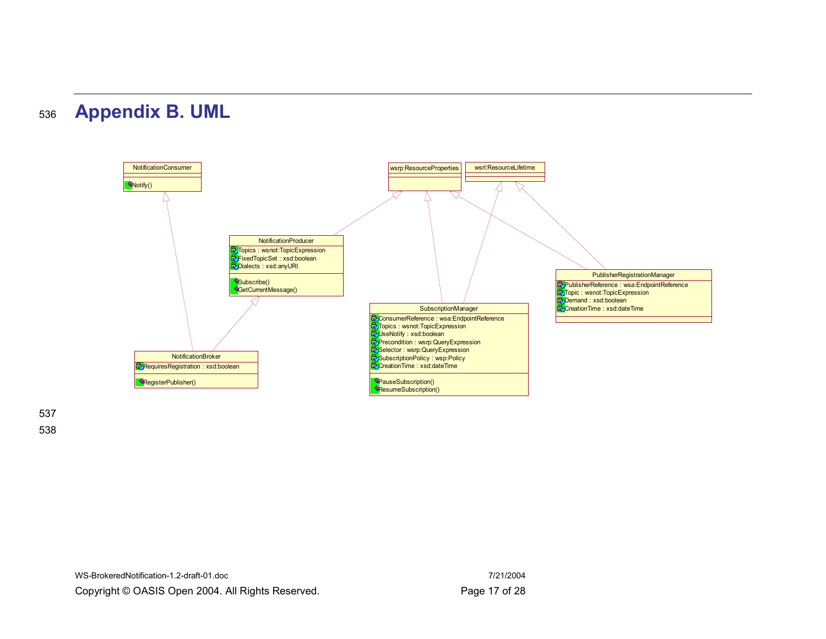



537 538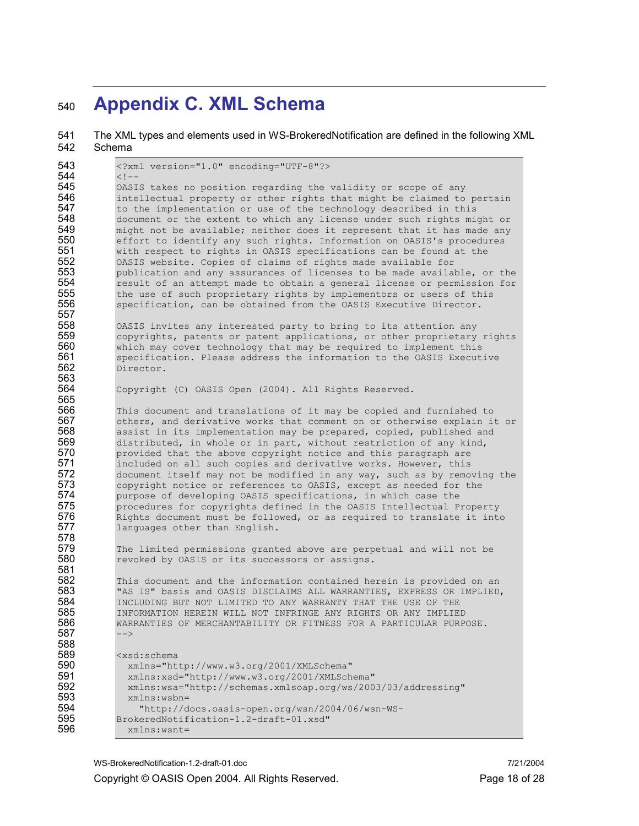# 540 Appendix C. XML Schema

| 541<br>542                                                                                     | The XML types and elements used in WS-BrokeredNotification are defined in the following XML<br>Schema                                                                                                                                                                                                                                                                                                                                                                                                                                                                                                                                                                                                                                                                                                                                                                                           |
|------------------------------------------------------------------------------------------------|-------------------------------------------------------------------------------------------------------------------------------------------------------------------------------------------------------------------------------------------------------------------------------------------------------------------------------------------------------------------------------------------------------------------------------------------------------------------------------------------------------------------------------------------------------------------------------------------------------------------------------------------------------------------------------------------------------------------------------------------------------------------------------------------------------------------------------------------------------------------------------------------------|
| 543                                                                                            | xml version="1.0" encoding="UTF-8"?                                                                                                                                                                                                                                                                                                                                                                                                                                                                                                                                                                                                                                                                                                                                                                                                                                                             |
| 544<br>545<br>546<br>547<br>548<br>549<br>550<br>551<br>552<br>553<br>554<br>555<br>556<br>557 | $\lt$ ! --<br>OASIS takes no position regarding the validity or scope of any<br>intellectual property or other rights that might be claimed to pertain<br>to the implementation or use of the technology described in this<br>document or the extent to which any license under such rights might or<br>might not be available; neither does it represent that it has made any<br>effort to identify any such rights. Information on OASIS's procedures<br>with respect to rights in OASIS specifications can be found at the<br>OASIS website. Copies of claims of rights made available for<br>publication and any assurances of licenses to be made available, or the<br>result of an attempt made to obtain a general license or permission for<br>the use of such proprietary rights by implementors or users of this<br>specification, can be obtained from the OASIS Executive Director. |
| 558<br>559<br>560<br>561<br>562<br>563                                                         | OASIS invites any interested party to bring to its attention any<br>copyrights, patents or patent applications, or other proprietary rights<br>which may cover technology that may be required to implement this<br>specification. Please address the information to the OASIS Executive<br>Director.                                                                                                                                                                                                                                                                                                                                                                                                                                                                                                                                                                                           |
| 564<br>565                                                                                     | Copyright (C) OASIS Open (2004). All Rights Reserved.                                                                                                                                                                                                                                                                                                                                                                                                                                                                                                                                                                                                                                                                                                                                                                                                                                           |
| 566<br>567<br>568<br>569<br>570<br>571<br>572<br>573<br>574<br>575<br>576<br>577<br>578        | This document and translations of it may be copied and furnished to<br>others, and derivative works that comment on or otherwise explain it or<br>assist in its implementation may be prepared, copied, published and<br>distributed, in whole or in part, without restriction of any kind,<br>provided that the above copyright notice and this paragraph are<br>included on all such copies and derivative works. However, this<br>document itself may not be modified in any way, such as by removing the<br>copyright notice or references to OASIS, except as needed for the<br>purpose of developing OASIS specifications, in which case the<br>procedures for copyrights defined in the OASIS Intellectual Property<br>Rights document must be followed, or as required to translate it into<br>languages other than English.                                                            |
| 579<br>580<br>581                                                                              | The limited permissions granted above are perpetual and will not be<br>revoked by OASIS or its successors or assigns.                                                                                                                                                                                                                                                                                                                                                                                                                                                                                                                                                                                                                                                                                                                                                                           |
| 582<br>583<br>584<br>585<br>586<br>587<br>588                                                  | This document and the information contained herein is provided on an<br>"AS IS" basis and OASIS DISCLAIMS ALL WARRANTIES, EXPRESS OR IMPLIED,<br>INCLUDING BUT NOT LIMITED TO ANY WARRANTY THAT THE USE OF THE<br>INFORMATION HEREIN WILL NOT INFRINGE ANY RIGHTS OR ANY IMPLIED<br>WARRANTIES OF MERCHANTABILITY OR FITNESS FOR A PARTICULAR PURPOSE.<br>$--&$                                                                                                                                                                                                                                                                                                                                                                                                                                                                                                                                 |
| 589<br>590<br>591<br>592<br>593<br>594<br>595<br>596                                           | <xsd:schema<br>xmlns="http://www.w3.org/2001/XMLSchema"<br/>xmlns:xsd="http://www.w3.org/2001/XMLSchema"<br/>xmlns:wsa="http://schemas.xmlsoap.org/ws/2003/03/addressing"<br/><math>xmlns:wsbn=</math><br/>"http://docs.oasis-open.org/wsn/2004/06/wsn-WS-<br/>BrokeredNotification-1.2-draft-01.xsd"<br/>xmlns:wsnt=</xsd:schema<br>                                                                                                                                                                                                                                                                                                                                                                                                                                                                                                                                                           |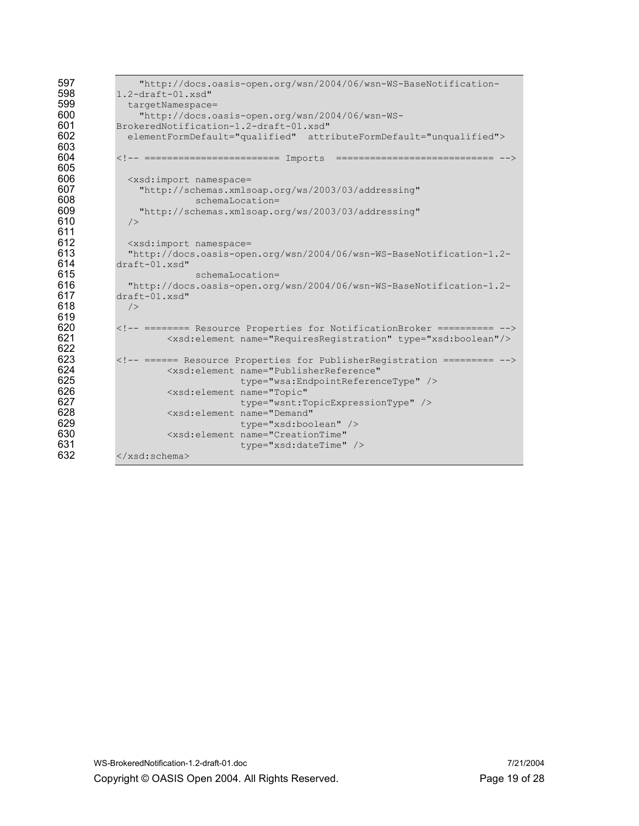```
597 "http://docs.oasis-open.org/wsn/2004/06/wsn-WS-BaseNotification-<br>598 1.2-draft-01.xsd"
598 1.2-draft-01.xsd"<br>599 targetNamespace
599 targetNamespace= 
600 "http://docs.oasis-open.org/wsn/2004/06/wsn-WS-<br>601 BrokeredNotification-1.2-draft-01.xsd"
601 BrokeredNotification-1.2-draft-01.xsd" 
             602 elementFormDefault="qualified" attributeFormDefault="unqualified"> 
603<br>604
           604 <!-- ======================== Imports ============================ --> 
605 
606 <xsd:import namespace= 
607 "http://schemas.xmlsoap.org/ws/2003/03/addressing" 
608 schemaLocation= 
               "http://schemas.xmlsoap.org/ws/2003/03/addressing"
610 />611<br>612
612 <xsd:import namespace=<br>613 Thttp://docs.oasis-oper
613 "http://docs.oasis-open.org/wsn/2004/06/wsn-WS-BaseNotification-1.2-
614 draft-01.xsd" 
615 schemaLocation=<br>616 16 mhttp://docs.oasis-open.org
             616 "http://docs.oasis-open.org/wsn/2004/06/wsn-WS-BaseNotification-1.2-
617 draft-01.xsd" 
618 /619<br>620
620 \langle!-- ======== Resource Properties for NotificationBroker ========== --><br>621 \langle xsd:element \ name="Required = "Required" type="xsd:boolean" / \rangle621 <xsd:element name="RequiresRegistration" type="xsd:boolean"/> 
622<br>623
623 <!-- ====== Resource Properties for PublisherRegistration ========= --> 624
624 <xsd:element name="PublisherReference" 
625 type="wsa:EndpointReferenceType" /><br>626 the state of the state of the state of the state of the state of the state of the state of the state of th
626 <xsd:element name="Topic" 
627 type="wsnt:TopicExpressionType" /><br>628 <xsd:element name="Demand"
628 <xsd:element name="Demand" 
629 type="xsd:boolean" /> 
630 <xsd:element name="CreationTime"<br>631 type="xsd:dateTime"
631 type="xsd:dateTime" /><br>632 </xsd:schema>
           632 </xsd:schema>
```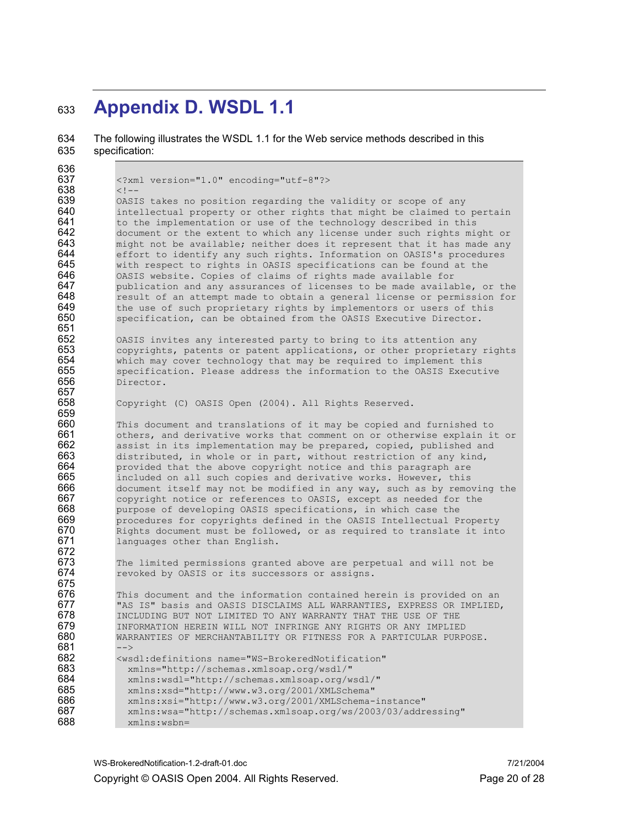## 633 Appendix D. WSDL 1.1

634 The following illustrates the WSDL 1.1 for the Web service methods described in this 635 specification:

636<br>637 637 <?xml version="1.0" encoding="utf-8"?> 638 <!-- 639 OASIS takes no position regarding the validity or scope of any<br>640 intellectual property or other rights that might be claimed to 640 intellectual property or other rights that might be claimed to pertain  $641$  to the implementation or use of the technology described in this 641 to the implementation or use of the technology described in this  $642$  document or the extent to which any license under such rights mid document or the extent to which any license under such rights might or  $643$  might not be available; neither does it represent that it has made any  $644$  effort to identify any such rights. Information on OASIS's procedures  $644$  effort to identify any such rights. Information on OASIS's procedures  $645$  with respect to rights in OASIS specifications can be found at the 645 with respect to rights in OASIS specifications can be found at the 646 consts website. Copies of claims of rights made available for 646 OASIS website. Copies of claims of rights made available for<br>647 publication and any assurances of licenses to be made availal publication and any assurances of licenses to be made available, or the 648 result of an attempt made to obtain a general license or permission for 649 the use of such proprietary rights by implementors or users of this 649 the use of such proprietary rights by implementors or users of this<br>650 specification, can be obtained from the OASIS Executive Director. specification, can be obtained from the OASIS Executive Director. 651<br>652 652 OASIS invites any interested party to bring to its attention any<br>653 Copyrights, patents or patent applications, or other proprietary  $653$  copyrights, patents or patent applications, or other proprietary rights  $654$  which may cover technology that may be required to implement this which may cover technology that may be required to implement this 655 specification. Please address the information to the OASIS Executive<br>656 Director. Director. 657<br>658 Copyright (C) OASIS Open (2004). All Rights Reserved. 659<br>660 660 This document and translations of it may be copied and furnished to 661 the others, and derivative works that comment on or otherwise explain i  $661$  others, and derivative works that comment on or otherwise explain it or  $662$  assist in its implementation may be prepared, copied, published and 662 assist in its implementation may be prepared, copied, published and<br>663 distributed, in whole or in part, without restriction of any kind,  $663$  distributed, in whole or in part, without restriction of any kind,  $664$  provided that the above copyright notice and this paragraph are 664 provided that the above copyright notice and this paragraph are<br>665 included on all such copies and derivative works. However, this  $665$  included on all such copies and derivative works. However, this  $666$  document itself may not be modified in any way, such as by remo 666 document itself may not be modified in any way, such as by removing the 667 copyright notice or references to OASIS, except as needed for the 667 copyright notice or references to OASIS, except as needed for the 668 currences of developing OASIS specifications, in which case the 668 purpose of developing OASIS specifications, in which case the 669 procedures for copyrights defined in the OASIS Intellectual P 669 procedures for copyrights defined in the OASIS Intellectual Property 670 Rights document must be followed, or as required to translate it into<br>671 languages other than English. languages other than English. 672<br>673 673 The limited permissions granted above are perpetual and will not be 674 The perpetual and will not be 674 revoked by OASIS or its successors or assigns. 675<br>676 676 This document and the information contained herein is provided on an<br>677 This IS" basis and OASIS DISCLAIMS ALL WARRANTIES, EXPRESS OR IMPLIED 677 TAS IS" basis and OASIS DISCLAIMS ALL WARRANTIES, EXPRESS OR IMPLIED, 678 678 INCLUDING BUT NOT LIMITED TO ANY WARRANTY THAT THE USE OF THE 679 679 INFORMATION HEREIN WILL NOT INFRINGE ANY RIGHTS OR ANY IMPLIED<br>680 WARRANTIES OF MERCHANTABILITY OR FITNESS FOR A PARTICULAR PURP WARRANTIES OF MERCHANTABILITY OR FITNESS FOR A PARTICULAR PURPOSE. 681 682 <wsdl:definitions name="WS-BrokeredNotification" 683 xmlns="http://schemas.xmlsoap.org/wsdl/" 684 xmlns:wsdl="http://schemas.xmlsoap.org/wsdl/" 685 xmlns:xsd="http://www.w3.org/2001/XMLSchema"<br>686 xmlns:xsi="http://www.w3.org/2001/XMLSchema-686 xmlns:xsi="http://www.w3.org/2001/XMLSchema-instance"<br>687 xmlns:wsa="http://schemas.xmlsoap.org/ws/2003/03/addr 687 xmlns:wsa="http://schemas.xmlsoap.org/ws/2003/03/addressing" 688 xmlns:wsbn=

WS-BrokeredNotification-1.2-draft-01.doc 7/21/2004 Copyright © OASIS Open 2004. All Rights Reserved. Page 20 of 28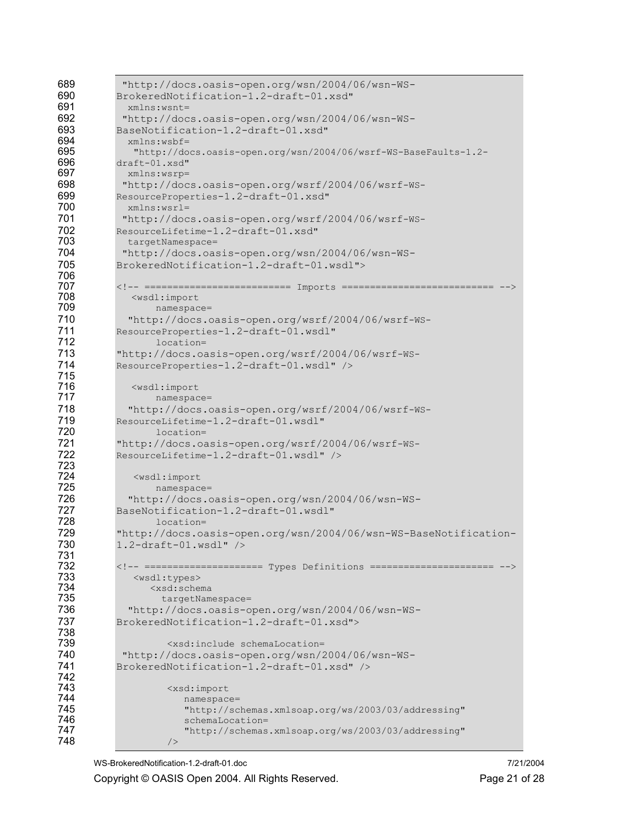| 689        | "http://docs.oasis-open.org/wsn/2004/06/wsn-WS-                                                       |
|------------|-------------------------------------------------------------------------------------------------------|
| 690        | BrokeredNotification-1.2-draft-01.xsd"                                                                |
| 691        | $xmlns:wsnt =$                                                                                        |
| 692        | "http://docs.oasis-open.org/wsn/2004/06/wsn-WS-                                                       |
| 693        | BaseNotification-1.2-draft-01.xsd"                                                                    |
| 694        | $xmlns:wsbf=$                                                                                         |
| 695        | "http://docs.oasis-open.org/wsn/2004/06/wsrf-WS-BaseFaults-1.2-                                       |
| 696        | draft-01.xsd"                                                                                         |
| 697        | xmlns:wsrp=                                                                                           |
| 698        | "http://docs.oasis-open.org/wsrf/2004/06/wsrf-WS-                                                     |
| 699        | ResourceProperties-1.2-draft-01.xsd"                                                                  |
| 700        | xmlns:wsrl=                                                                                           |
| 701        | "http://docs.oasis-open.org/wsrf/2004/06/wsrf-WS-                                                     |
| 702        | ResourceLifetime-1.2-draft-01.xsd"                                                                    |
| 703        | targetNamespace=                                                                                      |
| 704        | "http://docs.oasis-open.org/wsn/2004/06/wsn-WS-                                                       |
| 705        | BrokeredNotification-1.2-draft-01.wsdl">                                                              |
| 706        |                                                                                                       |
| 707<br>708 | ========================== Imports ===========================<br><wsdl:import< th=""></wsdl:import<> |
| 709        | namespace=                                                                                            |
| 710        | "http://docs.oasis-open.org/wsrf/2004/06/wsrf-WS-                                                     |
| 711        | ResourceProperties-1.2-draft-01.wsdl"                                                                 |
| 712        | location=                                                                                             |
| 713        | "http://docs.oasis-open.org/wsrf/2004/06/wsrf-WS-                                                     |
| 714        | ResourceProperties-1.2-draft-01.wsdl" />                                                              |
| 715        |                                                                                                       |
| 716        | <wsdl:import< th=""></wsdl:import<>                                                                   |
| 717        | namespace=                                                                                            |
| 718        | "http://docs.oasis-open.org/wsrf/2004/06/wsrf-WS-                                                     |
| 719        | ResourceLifetime-1.2-draft-01.wsdl"                                                                   |
| 720        | location=                                                                                             |
| 721        | "http://docs.oasis-open.org/wsrf/2004/06/wsrf-WS-                                                     |
| 722        | ResourceLifetime-1.2-draft-01.wsdl" />                                                                |
| 723        |                                                                                                       |
| 724        | <wsdl:import< th=""></wsdl:import<>                                                                   |
| 725        | namespace=                                                                                            |
| 726        | "http://docs.oasis-open.org/wsn/2004/06/wsn-WS-                                                       |
| 727        | BaseNotification-1.2-draft-01.wsdl"                                                                   |
| 728        | location=                                                                                             |
| 729        | "http://docs.oasis-open.org/wsn/2004/06/wsn-WS-BaseNotification-                                      |
| 730        | $1.2$ -draft-01.wsdl" />                                                                              |
| 731        |                                                                                                       |
| 732        | ===================== Types Definitions ======================                                        |
| 733<br>734 | <wsdl:types></wsdl:types>                                                                             |
| 735        | <xsd:schema<br>targetNamespace=</xsd:schema<br>                                                       |
| 736        | "http://docs.oasis-open.org/wsn/2004/06/wsn-WS-                                                       |
| 737        | BrokeredNotification-1.2-draft-01.xsd">                                                               |
| 738        |                                                                                                       |
| 739        | <xsd:include schemalocation="&lt;/th"></xsd:include>                                                  |
| 740        | "http://docs.oasis-open.org/wsn/2004/06/wsn-WS-                                                       |
| 741        | BrokeredNotification-1.2-draft-01.xsd" />                                                             |
| 742        |                                                                                                       |
| 743        | <xsd:import< th=""></xsd:import<>                                                                     |
| 744        | namespace=                                                                                            |
| 745        | "http://schemas.xmlsoap.org/ws/2003/03/addressing"                                                    |
| 746        | schemaLocation=                                                                                       |
| 747        | "http://schemas.xmlsoap.org/ws/2003/03/addressing"                                                    |
| 748        | /                                                                                                     |

WS-BrokeredNotification-1.2-draft-01.doc 7/21/2004

Copyright © OASIS Open 2004. All Rights Reserved. Page 21 of 28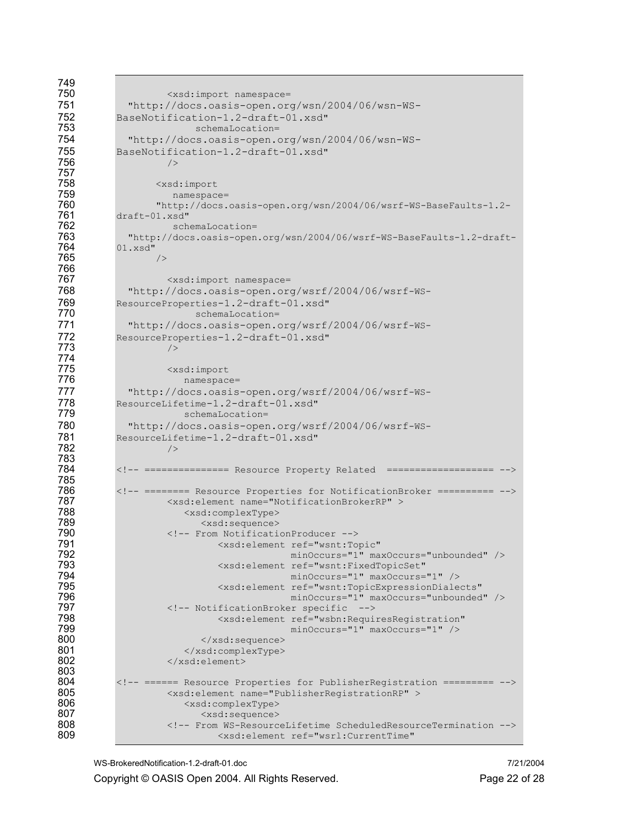| 749 |                                                                           |
|-----|---------------------------------------------------------------------------|
| 750 | <xsd:import namespace="&lt;/th"></xsd:import>                             |
| 751 | "http://docs.oasis-open.org/wsn/2004/06/wsn-WS-                           |
| 752 | BaseNotification-1.2-draft-01.xsd"                                        |
| 753 | schemaLocation=                                                           |
| 754 | "http://docs.oasis-open.org/wsn/2004/06/wsn-WS-                           |
| 755 |                                                                           |
|     | BaseNotification-1.2-draft-01.xsd"                                        |
| 756 | /                                                                         |
| 757 |                                                                           |
| 758 | <xsd:import< th=""></xsd:import<>                                         |
| 759 | namespace=                                                                |
| 760 | "http://docs.oasis-open.org/wsn/2004/06/wsrf-WS-BaseFaults-1.2-           |
| 761 | draft-01.xsd"                                                             |
| 762 | schemaLocation=                                                           |
| 763 | "http://docs.oasis-open.org/wsn/2004/06/wsrf-WS-BaseFaults-1.2-draft-     |
| 764 | 01.xsd"                                                                   |
| 765 | /                                                                         |
| 766 |                                                                           |
| 767 | <xsd:import namespace="&lt;/th"></xsd:import>                             |
| 768 | "http://docs.oasis-open.org/wsrf/2004/06/wsrf-WS-                         |
| 769 | ResourceProperties-1.2-draft-01.xsd"                                      |
| 770 | schemaLocation=                                                           |
| 771 | "http://docs.oasis-open.org/wsrf/2004/06/wsrf-WS-                         |
| 772 | ResourceProperties-1.2-draft-01.xsd"                                      |
| 773 | /                                                                         |
| 774 |                                                                           |
| 775 | <xsd:import< th=""></xsd:import<>                                         |
| 776 | namespace=                                                                |
| 777 |                                                                           |
|     | "http://docs.oasis-open.org/wsrf/2004/06/wsrf-WS-                         |
| 778 | ResourceLifetime-1.2-draft-01.xsd"                                        |
| 779 | schemaLocation=                                                           |
| 780 | "http://docs.oasis-open.org/wsrf/2004/06/wsrf-WS-                         |
| 781 | ResourceLifetime-1.2-draft-01.xsd"                                        |
| 782 | /                                                                         |
| 783 |                                                                           |
| 784 | =============== Resource Property Related ===================             |
| 785 |                                                                           |
| 786 | ======== Resource Properties for NotificationBroker ==========            |
| 787 | <xsd:element name="NotificationBrokerRP"></xsd:element>                   |
| 788 | <xsd:complextype></xsd:complextype>                                       |
| 789 | <xsd:sequence></xsd:sequence>                                             |
| 790 | From NotificationProducer                                                 |
| 791 | <xsd:element <="" ref="wsnt:Topic" th=""></xsd:element>                   |
| 792 | minOccurs="1" maxOccurs="unbounded" />                                    |
| 793 | <xsd:element <="" ref="wsnt:FixedTopicSet" th=""></xsd:element>           |
| 794 | minOccurs="1" maxOccurs="1" />                                            |
| 795 | <xsd:element <="" ref="wsnt:TopicExpressionDialects" th=""></xsd:element> |
| 796 | minOccurs="1" maxOccurs="unbounded" />                                    |
| 797 | NotificationBroker specific                                               |
| 798 | <xsd:element <="" ref="wsbn:RequiresRegistration" th=""></xsd:element>    |
| 799 | minOccurs="1" maxOccurs="1" />                                            |
| 800 |                                                                           |
| 801 |                                                                           |
| 802 |                                                                           |
| 803 |                                                                           |
| 804 | ====== Resource Properties for PublisherRegistration =========            |
| 805 | <xsd:element name="PublisherRegistrationRP"></xsd:element>                |
| 806 | <xsd:complextype></xsd:complextype>                                       |
| 807 | <xsd:sequence></xsd:sequence>                                             |
| 808 | From WS-ResourceLifetime ScheduledResourceTermination                     |
| 809 | <xsd:element <="" ref="wsrl:CurrentTime" th=""></xsd:element>             |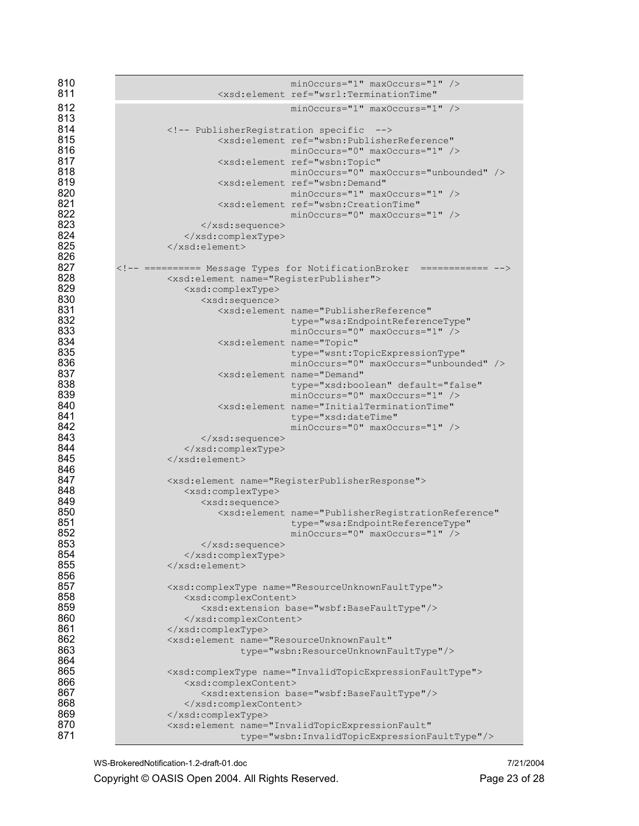| 810<br>811 | minOccurs="1" maxOccurs="1" /><br><xsd:element <="" ref="wsrl:TerminationTime" th=""></xsd:element>                   |  |  |  |
|------------|-----------------------------------------------------------------------------------------------------------------------|--|--|--|
| 812<br>813 | minOccurs="1" maxOccurs="1" />                                                                                        |  |  |  |
| 814        | PublisherRegistration specific                                                                                        |  |  |  |
| 815<br>816 | <xsd:element <br="" ref="wsbn:PublisherReference">minOccurs="0" maxOccurs="1" /&gt;</xsd:element>                     |  |  |  |
| 817<br>818 | <xsd:element <br="" ref="wsbn:Topic">minOccurs="0" maxOccurs="unbounded" /&gt;</xsd:element>                          |  |  |  |
| 819<br>820 | <xsd:element <br="" ref="wsbn:Demand">minOccurs="1" maxOccurs="1" /&gt;</xsd:element>                                 |  |  |  |
| 821<br>822 | <xsd:element <br="" ref="wsbn:CreationTime">minOccurs="0" maxOccurs="1" /&gt;</xsd:element>                           |  |  |  |
| 823        | $\langle xsd:sequence \rangle$                                                                                        |  |  |  |
| 824        |                                                                                                                       |  |  |  |
| 825        |                                                                                                                       |  |  |  |
| 826        |                                                                                                                       |  |  |  |
| 827        | ========== Message Types for NotificationBroker ============                                                          |  |  |  |
| 828        | <xsd:element name="RegisterPublisher"></xsd:element>                                                                  |  |  |  |
| 829        | <xsd:complextype></xsd:complextype>                                                                                   |  |  |  |
| 830        | <xsd:sequence></xsd:sequence>                                                                                         |  |  |  |
| 831        | <xsd:element <="" name="PublisherReference" th=""></xsd:element>                                                      |  |  |  |
| 832        | type="wsa:EndpointReferenceType"                                                                                      |  |  |  |
| 833        | minOccurs="0" maxOccurs="1" />                                                                                        |  |  |  |
| 834        | <xsd:element <="" name="Topic" th=""></xsd:element>                                                                   |  |  |  |
| 835        | type="wsnt:TopicExpressionType"                                                                                       |  |  |  |
| 836        | minOccurs="0" maxOccurs="unbounded" />                                                                                |  |  |  |
| 837        | <xsd:element <="" name="Demand" th=""></xsd:element>                                                                  |  |  |  |
| 838        | type="xsd:boolean" default="false"                                                                                    |  |  |  |
| 839        | minOccurs="0" maxOccurs="1" />                                                                                        |  |  |  |
| 840        | <xsd:element <="" name="InitialTerminationTime" th=""></xsd:element>                                                  |  |  |  |
| 841        | type="xsd:dateTime"                                                                                                   |  |  |  |
| 842        | minOccurs="0" maxOccurs="1" />                                                                                        |  |  |  |
| 843        | $\langle xsd:sequence \rangle$                                                                                        |  |  |  |
| 844        |                                                                                                                       |  |  |  |
| 845        |                                                                                                                       |  |  |  |
| 846        |                                                                                                                       |  |  |  |
| 847        | <xsd:element name="RegisterPublisherResponse"></xsd:element>                                                          |  |  |  |
| 848        | <xsd:complextype></xsd:complextype>                                                                                   |  |  |  |
| 849        | <xsd:sequence></xsd:sequence>                                                                                         |  |  |  |
| 850        | <xsd:element <="" name="PublisherRegistrationReference" th=""></xsd:element>                                          |  |  |  |
| 851        | type="wsa:EndpointReferenceType"                                                                                      |  |  |  |
| 852        | minOccurs="0" maxOccurs="1" />                                                                                        |  |  |  |
| 853        |                                                                                                                       |  |  |  |
| 854        |                                                                                                                       |  |  |  |
| 855        |                                                                                                                       |  |  |  |
| 856        |                                                                                                                       |  |  |  |
| 857        | <xsd:complextype name="ResourceUnknownFaultType"></xsd:complextype>                                                   |  |  |  |
| 858        | <xsd:complexcontent></xsd:complexcontent>                                                                             |  |  |  |
| 859        | <xsd:extension base="wsbf:BaseFaultType"></xsd:extension>                                                             |  |  |  |
| 860        |                                                                                                                       |  |  |  |
| 861        |                                                                                                                       |  |  |  |
| 862        | <xsd:element <="" name="ResourceUnknownFault" th=""></xsd:element>                                                    |  |  |  |
| 863<br>864 | type="wsbn:ResourceUnknownFaultType"/>                                                                                |  |  |  |
| 865        |                                                                                                                       |  |  |  |
| 866        | <xsd:complextype name="InvalidTopicExpressionFaultType"></xsd:complextype>                                            |  |  |  |
| 867        | <xsd:complexcontent></xsd:complexcontent>                                                                             |  |  |  |
| 868        | <xsd:extension base="wsbf:BaseFaultType"></xsd:extension>                                                             |  |  |  |
| 869        |                                                                                                                       |  |  |  |
| 870        |                                                                                                                       |  |  |  |
| 871        | <xsd:element <br="" name="InvalidTopicExpressionFault">type="wsbn:InvalidTopicExpressionFaultType"/&gt;</xsd:element> |  |  |  |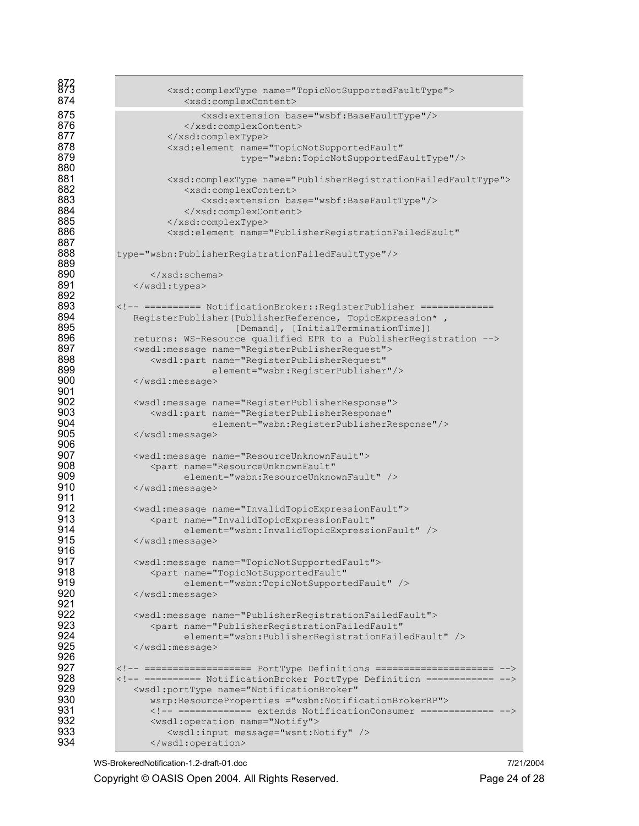```
872 873 <xsd:complexType name="TopicNotSupportedFaultType"> 
                          874 <xsd:complexContent> 
875 <xsd:extension base="wsbf:BaseFaultType"/><br>876 </xsd:complexContent>
876 </xsd:complexContent><br>877 </xsd:complexType>
877 </xsd:complexType> 
878 <xsd:element name="TopicNotSupportedFault" 
                                      879 type="wsbn:TopicNotSupportedFaultType"/> 
880 
881 <xsd:complexType name="PublisherRegistrationFailedFaultType"><br>882 <xsd:complexContent>
882 <xsd:complexContent><br>883 <xsd:extension ba
883 <xsd:extension base="wsbf:BaseFaultType"/><br>884 </xsd:complexContent>
                          884 </xsd:complexContent> 
885 </xsd:complexType><br>886 <xsd:element_name=
                      886 <xsd:element name="PublisherRegistrationFailedFault" 
887 
            type="wsbn:PublisherRegistrationFailedFaultType"/>
889 
890 \langle xsd:schema \rangle<br>891 \langle wsd:types \rangle</wsdl:types>
892<br>893
893 <!-- ========== NotificationBroker::RegisterPublisher =======================<br>894 RegisterPublisher(PublisherReference, TopicExpression*,
894 RegisterPublisher(PublisherReference, TopicExpression*,<br>RegisterPublisher(Demandl, [InitialTerminationTimel)
895 [Demand], [InitialTerminationTime]) 
896 returns: WS-Resource qualified EPR to a PublisherRegistration --> 
897 <wsdl:message name="RegisterPublisherRequest"> 
898 <wsdl:part name="RegisterPublisherRequest" 
899 element="wsbn:RegisterPublisher"/><br>900 </wsdl:message>
               900 </wsdl:message> 
901 
902 <wsdl:message name="RegisterPublisherResponse"> 
903 <wsdl:part name="RegisterPublisherResponse" 
904 element="wsbn:RegisterPublisherResponse"/> 
               905 </wsdl:message> 
906 
907 <wsdl:message name="ResourceUnknownFault"> 
908 <part name="ResourceUnknownFault" 
909 element="wsbn:ResourceUnknownFault" /><br>910 </wsdl:message>
               \langle/wsdl:message>
911 
912 <wsdl:message name="InvalidTopicExpressionFault"> 
913 <part name="InvalidTopicExpressionFault"<br>914 element="wsbn:InvalidTopicExpressi
914 element="wsbn:InvalidTopicExpressionFault" /> 
               </wsdl:message>
916<br>917
917 <wsdl:message name="TopicNotSupportedFault"><br>918 <wsdl:mame="TopicNotSupportedFault"
                   918 <part name="TopicNotSupportedFault" 
919 element="wsbn:TopicNotSupportedFault" /><br>920 </wsdl:message>
               920 </wsdl:message> 
921<br>922
922 <wsdl:message name="PublisherRegistrationFailedFault"> 
923 <part name="PublisherRegistrationFailedFault"
924 element="wsbn:PublisherRegistrationFailedFault" /><br>925 </wsdl:message>
                925 </wsdl:message> 
926<br>927
927 <!-- =================== PortType Definitions ===================== --> 
928 <!-- ========== NotificationBroker PortType Definition ============ --> 
929 <wsdl:portType name="NotificationBroker" 
930 wsrp:ResourceProperties ="wsbn:NotificationBrokerRP"><br>931 > <!-- ============= extends NotificationConsumer =====
931 <!-- ============ extends NotificationConsumer ============= --><br>932 <wsdl:operation name="Notify">
932 > <wsdl:operation name="Notify"><br>933 > <wsdl:input message="wsnt:N
933 Samma Karl Constant Market Constant Market Constant Market Constant Market Constant Oriental Market Constant O<br>934 Samma Karl Constant Constant Constant Constant Constant Constant Constant Constant Constant Constant Co
                   934 </wsdl:operation>
```
WS-BrokeredNotification-1.2-draft-01.doc 7/21/2004

Copyright © OASIS Open 2004. All Rights Reserved. Page 24 of 28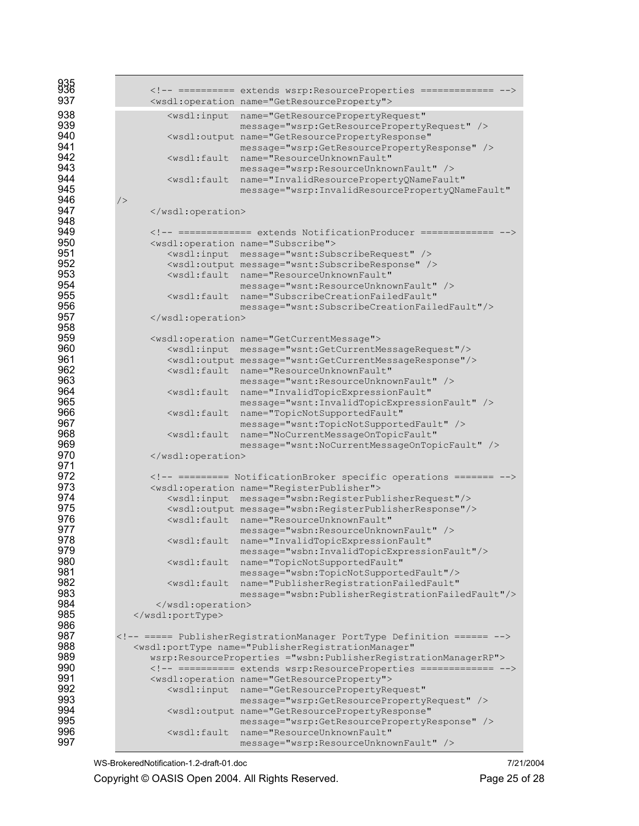| 935 |                                                                                   |                                                                                |
|-----|-----------------------------------------------------------------------------------|--------------------------------------------------------------------------------|
|     |                                                                                   | ========== extends wsrp:ResourceProperties =============                       |
| 937 |                                                                                   | <wsdl:operation name="GetResourceProperty"></wsdl:operation>                   |
| 938 |                                                                                   | <wsdl:input <="" name="GetResourcePropertyRequest" th=""></wsdl:input>         |
| 939 |                                                                                   | message="wsrp:GetResourcePropertyRequest" />                                   |
| 940 |                                                                                   | <wsdl:output <="" name="GetResourcePropertyResponse" th=""></wsdl:output>      |
| 941 |                                                                                   | message="wsrp:GetResourcePropertyResponse" />                                  |
| 942 |                                                                                   | <wsdl:fault <="" name="ResourceUnknownFault" th=""></wsdl:fault>               |
| 943 |                                                                                   | message="wsrp:ResourceUnknownFault" />                                         |
| 944 |                                                                                   | <wsdl:fault <="" name="InvalidResourcePropertyQNameFault" th=""></wsdl:fault>  |
| 945 |                                                                                   | message="wsrp:InvalidResourcePropertyQNameFault"                               |
| 946 | /                                                                                 |                                                                                |
| 947 |                                                                                   |                                                                                |
| 948 |                                                                                   |                                                                                |
| 949 |                                                                                   | ============= extends NotificationProducer =============                       |
| 950 |                                                                                   | <wsdl:operation name="Subscribe"></wsdl:operation>                             |
| 951 |                                                                                   | <wsdl:input message="wsnt:SubscribeRequest"></wsdl:input>                      |
| 952 |                                                                                   | <wsdl:output message="wsnt:SubscribeResponse"></wsdl:output>                   |
| 953 |                                                                                   | <wsdl:fault <="" name="ResourceUnknownFault" th=""></wsdl:fault>               |
| 954 |                                                                                   | message="wsnt: ResourceUnknownFault" />                                        |
| 955 |                                                                                   | <wsdl:fault <="" name="SubscribeCreationFailedFault" th=""></wsdl:fault>       |
| 956 |                                                                                   | message="wsnt:SubscribeCreationFailedFault"/>                                  |
| 957 |                                                                                   |                                                                                |
| 958 |                                                                                   |                                                                                |
| 959 |                                                                                   | <wsdl:operation name="GetCurrentMessage"></wsdl:operation>                     |
| 960 |                                                                                   | <wsdl:input message="wsnt:GetCurrentMessageRequest"></wsdl:input>              |
| 961 |                                                                                   | <wsdl:output message="wsnt:GetCurrentMessageResponse"></wsdl:output>           |
| 962 |                                                                                   | <wsdl:fault <="" name="ResourceUnknownFault" th=""></wsdl:fault>               |
| 963 |                                                                                   | message="wsnt: ResourceUnknownFault" />                                        |
| 964 | <wsdl:fault< th=""><th>name="InvalidTopicExpressionFault"</th></wsdl:fault<>      | name="InvalidTopicExpressionFault"                                             |
| 965 |                                                                                   | message="wsnt: InvalidTopicExpressionFault" />                                 |
| 966 |                                                                                   | <wsdl:fault <="" name="TopicNotSupportedFault" th=""></wsdl:fault>             |
| 967 |                                                                                   | message="wsnt:TopicNotSupportedFault" />                                       |
| 968 | $<$ wsdl:fault                                                                    | name="NoCurrentMessageOnTopicFault"                                            |
| 969 |                                                                                   | message="wsnt:NoCurrentMessageOnTopicFault" />                                 |
| 970 |                                                                                   |                                                                                |
| 971 |                                                                                   |                                                                                |
| 972 |                                                                                   | ========= NotificationBroker specific operations =======                       |
| 973 |                                                                                   | <wsdl:operation name="RegisterPublisher"></wsdl:operation>                     |
| 974 |                                                                                   | <wsdl:input message="wsbn:RegisterPublisherRequest"></wsdl:input>              |
| 975 |                                                                                   | <wsdl:output message="wsbn:RegisterPublisherResponse"></wsdl:output>           |
| 976 |                                                                                   | <wsdl:fault <="" name="ResourceUnknownFault" th=""></wsdl:fault>               |
| 977 |                                                                                   | message="wsbn: ResourceUnknownFault" />                                        |
| 978 | $<$ wsdl:fault                                                                    | name="InvalidTopicExpressionFault"                                             |
| 979 |                                                                                   | message="wsbn:InvalidTopicExpressionFault"/>                                   |
| 980 | <wsdl:fault< th=""><th>name="TopicNotSupportedFault"</th></wsdl:fault<>           | name="TopicNotSupportedFault"                                                  |
| 981 |                                                                                   | message="wsbn:TopicNotSupportedFault"/>                                        |
| 982 | <wsdl:fault< th=""><th>name="PublisherRegistrationFailedFault"</th></wsdl:fault<> | name="PublisherRegistrationFailedFault"                                        |
| 983 |                                                                                   | message="wsbn: PublisherRegistrationFailedFault"/>                             |
| 984 |                                                                                   |                                                                                |
| 985 |                                                                                   |                                                                                |
| 986 |                                                                                   |                                                                                |
| 987 |                                                                                   | ===== PublisherRegistrationManager PortType Definition ======                  |
| 988 |                                                                                   | <wsdl:porttype <="" name="PublisherRegistrationManager" th=""></wsdl:porttype> |
| 989 |                                                                                   | wsrp:ResourceProperties ="wsbn:PublisherRegistrationManagerRP">                |
| 990 |                                                                                   | ========== extends wsrp:ResourceProperties =============                       |
| 991 |                                                                                   | <wsdl:operation name="GetResourceProperty"></wsdl:operation>                   |
| 992 |                                                                                   | <wsdl:input <="" name="GetResourcePropertyRequest" th=""></wsdl:input>         |
| 993 |                                                                                   | message="wsrp:GetResourcePropertyRequest" />                                   |
| 994 |                                                                                   | <wsdl:output <="" name="GetResourcePropertyResponse" th=""></wsdl:output>      |
| 995 |                                                                                   | message="wsrp:GetResourcePropertyResponse" />                                  |
| 996 |                                                                                   | <wsdl:fault <="" name="ResourceUnknownFault" th=""></wsdl:fault>               |
| 997 |                                                                                   |                                                                                |
|     |                                                                                   | message="wsrp:ResourceUnknownFault" />                                         |

WS-BrokeredNotification-1.2-draft-01.doc 7/21/2004

Copyright © OASIS Open 2004. All Rights Reserved. Page 25 of 28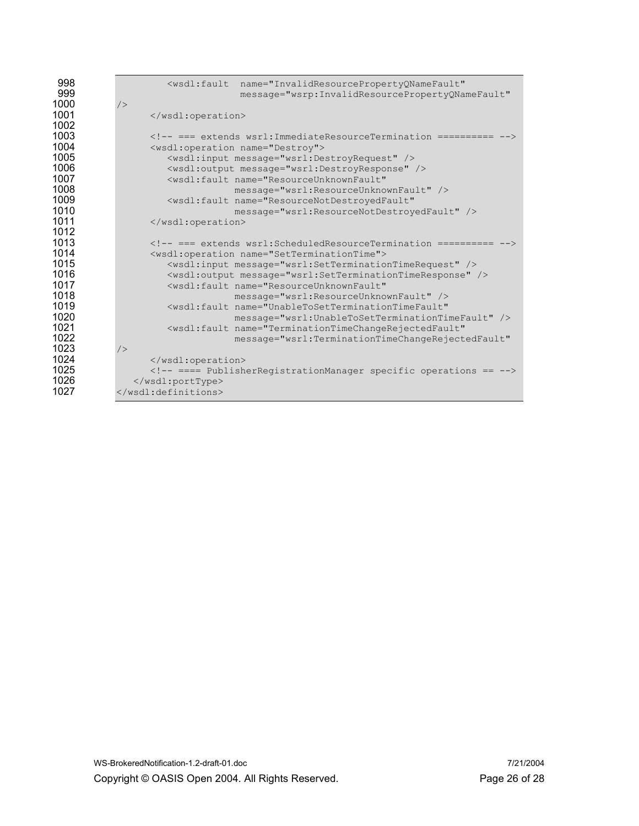| 998<br>999 | <wsdl:fault<br>name="InvalidResourcePropertyQNameFault"<br/>message="wsrp:InvalidResourcePropertyQNameFault"</wsdl:fault<br> |  |  |  |
|------------|------------------------------------------------------------------------------------------------------------------------------|--|--|--|
| 1000       | /                                                                                                                            |  |  |  |
| 1001       |                                                                                                                              |  |  |  |
| 1002       |                                                                                                                              |  |  |  |
| 1003       | === extends wsrl: ImmediateResourceTermination ==========                                                                    |  |  |  |
| 1004       | <wsdl:operation name="Destroy"></wsdl:operation>                                                                             |  |  |  |
| 1005       | <wsdl:input message="wsrl:DestroyRequest"></wsdl:input>                                                                      |  |  |  |
| 1006       | <wsdl:output message="wsrl:DestroyResponse"></wsdl:output>                                                                   |  |  |  |
| 1007       | <wsdl:fault_name="resourceunknownfault"< th=""></wsdl:fault_name="resourceunknownfault"<>                                    |  |  |  |
| 1008       | message="wsrl:ResourceUnknownFault" />                                                                                       |  |  |  |
| 1009       | <wsdl:fault <="" name="ResourceNotDestroyedFault" th=""></wsdl:fault>                                                        |  |  |  |
| 1010       | message="wsrl:ResourceNotDestroyedFault" />                                                                                  |  |  |  |
| 1011       |                                                                                                                              |  |  |  |
| 1012       |                                                                                                                              |  |  |  |
| 1013       | === extends wsrl: ScheduledResourceTermination ==========                                                                    |  |  |  |
| 1014       | <wsdl:operation name="SetTerminationTime"></wsdl:operation>                                                                  |  |  |  |
| 1015       | <wsdl:input message="wsrl:SetTerminationTimeRequest"></wsdl:input>                                                           |  |  |  |
| 1016       | <wsdl:output message="wsrl:SetTerminationTimeResponse"></wsdl:output>                                                        |  |  |  |
| 1017       | <wsdl:fault_name="resourceunknownfault"< th=""></wsdl:fault_name="resourceunknownfault"<>                                    |  |  |  |
| 1018       | message="wsrl:ResourceUnknownFault" />                                                                                       |  |  |  |
| 1019       | <wsdl:fault_name="unabletosetterminationtimefault"< th=""></wsdl:fault_name="unabletosetterminationtimefault"<>              |  |  |  |
| 1020       | message="wsrl:UnableToSetTerminationTimeFault" />                                                                            |  |  |  |
| 1021       | <wsdl:fault <="" name="TerminationTimeChangeRejectedFault" th=""></wsdl:fault>                                               |  |  |  |
| 1022       | message="wsrl:TerminationTimeChangeRejectedFault"                                                                            |  |  |  |
| 1023       | /                                                                                                                            |  |  |  |
| 1024       |                                                                                                                              |  |  |  |
| 1025       | ==== PublisherRegistrationManager specific operations ==                                                                     |  |  |  |
| 1026       |                                                                                                                              |  |  |  |
| 1027       |                                                                                                                              |  |  |  |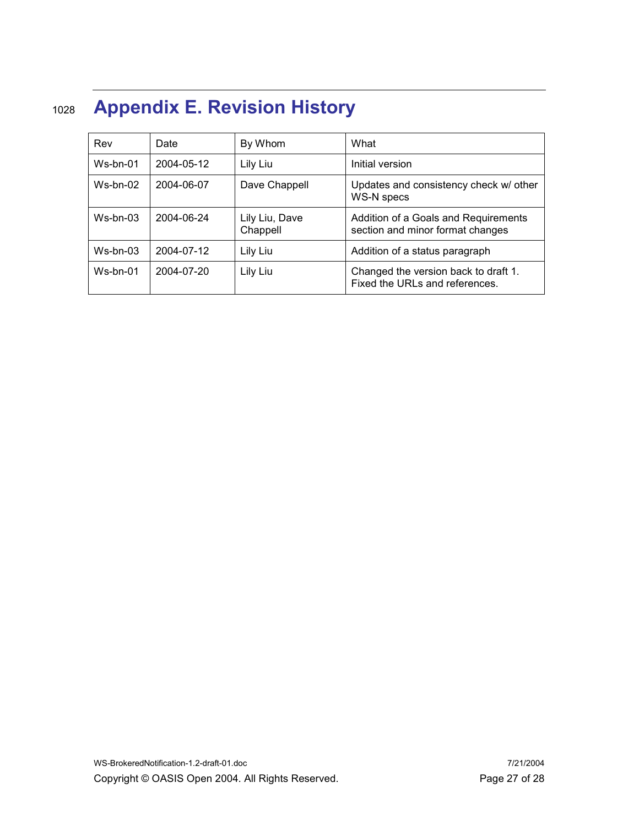# 1028 Appendix E. Revision History

| Rev        | Date       | By Whom                    | What                                                                     |
|------------|------------|----------------------------|--------------------------------------------------------------------------|
| $Ws-bn-01$ | 2004-05-12 | Lily Liu                   | Initial version                                                          |
| $Ws-bn-02$ | 2004-06-07 | Dave Chappell              | Updates and consistency check w/ other<br><b>WS-N specs</b>              |
| $Ws-bn-03$ | 2004-06-24 | Lily Liu, Dave<br>Chappell | Addition of a Goals and Requirements<br>section and minor format changes |
| $Ws-bn-03$ | 2004-07-12 | Lily Liu                   | Addition of a status paragraph                                           |
| $Ws-bn-01$ | 2004-07-20 | Lily Liu                   | Changed the version back to draft 1.<br>Fixed the URLs and references.   |